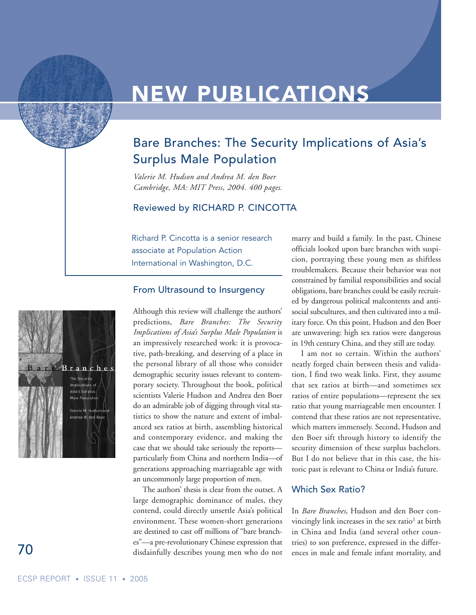# **NEW PUBLICATIONS**

# Bare Branches: The Security Implications of Asia's Surplus Male Population

*Valerie M. Hudson and Andrea M. den Boer Cambridge, MA: MIT Press, 2004. 400 pages.*

#### Reviewed by RICHARD P. CINCOTTA

Richard P. Cincotta is a senior research associate at Population Action International in Washington, D.C.

#### From Ultrasound to Insurgency

Branches The Security .<br>Asia's Surplus alerie M. Huds rea M. den Boe

Although this review will challenge the authors' predictions, *Bare Branches: The Security Implications of Asia's Surplus Male Population* is an impressively researched work: it is provocative, path-breaking, and deserving of a place in the personal library of all those who consider demographic security issues relevant to contemporary society. Throughout the book, political scientists Valerie Hudson and Andrea den Boer do an admirable job of digging through vital statistics to show the nature and extent of imbalanced sex ratios at birth, assembling historical and contemporary evidence, and making the case that we should take seriously the reports particularly from China and northern India—of generations approaching marriageable age with an uncommonly large proportion of men.

The authors' thesis is clear from the outset. A large demographic dominance of males, they contend, could directly unsettle Asia's political environment. These women-short generations are destined to cast off millions of "bare branches"—a pre-revolutionary Chinese expression that disdainfully describes young men who do not

marry and build a family. In the past, Chinese officials looked upon bare branches with suspicion, portraying these young men as shiftless troublemakers. Because their behavior was not constrained by familial responsibilities and social obligations, bare branches could be easily recruited by dangerous political malcontents and antisocial subcultures, and then cultivated into a military force. On this point, Hudson and den Boer are unwavering: high sex ratios were dangerous in 19th century China, and they still are today.

I am not so certain. Within the authors' neatly forged chain between thesis and validation, I find two weak links. First, they assume that sex ratios at birth—and sometimes sex ratios of entire populations—represent the sex ratio that young marriageable men encounter. I contend that these ratios are not representative, which matters immensely. Second, Hudson and den Boer sift through history to identify the security dimension of these surplus bachelors. But I do not believe that in this case, the historic past is relevant to China or India's future.

#### Which Sex Ratio?

In *Bare Branches*, Hudson and den Boer convincingly link increases in the sex ratio<sup>1</sup> at birth in China and India (and several other countries) to son preference, expressed in the differences in male and female infant mortality, and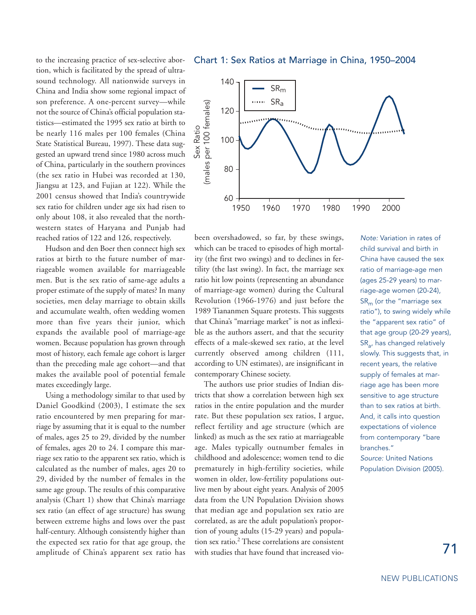to the increasing practice of sex-selective abortion, which is facilitated by the spread of ultrasound technology. All nationwide surveys in China and India show some regional impact of son preference. A one-percent survey—while not the source of China's official population statistics—estimated the 1995 sex ratio at birth to be nearly 116 males per 100 females (China State Statistical Bureau, 1997). These data suggested an upward trend since 1980 across much of China, particularly in the southern provinces (the sex ratio in Hubei was recorded at 130, Jiangsu at 123, and Fujian at 122). While the 2001 census showed that India's countrywide sex ratio for children under age six had risen to only about 108, it also revealed that the northwestern states of Haryana and Punjab had reached ratios of 122 and 126, respectively.

Hudson and den Boer then connect high sex ratios at birth to the future number of marriageable women available for marriageable men. But is the sex ratio of same-age adults a proper estimate of the supply of mates? In many societies, men delay marriage to obtain skills and accumulate wealth, often wedding women more than five years their junior, which expands the available pool of marriage-age women. Because population has grown through most of history, each female age cohort is larger than the preceding male age cohort—and that makes the available pool of potential female mates exceedingly large.

Using a methodology similar to that used by Daniel Goodkind (2003), I estimate the sex ratio encountered by men preparing for marriage by assuming that it is equal to the number of males, ages 25 to 29, divided by the number of females, ages 20 to 24. I compare this marriage sex ratio to the apparent sex ratio, which is calculated as the number of males, ages 20 to 29, divided by the number of females in the same age group. The results of this comparative analysis (Chart 1) show that China's marriage sex ratio (an effect of age structure) has swung between extreme highs and lows over the past half-century. Although consistently higher than the expected sex ratio for that age group, the amplitude of China's apparent sex ratio has

Chart 1: Sex Ratios at Marriage in China, 1950–2004



been overshadowed, so far, by these swings, which can be traced to episodes of high mortality (the first two swings) and to declines in fertility (the last swing). In fact, the marriage sex ratio hit low points (representing an abundance of marriage-age women) during the Cultural Revolution (1966-1976) and just before the 1989 Tiananmen Square protests. This suggests that China's "marriage market" is not as inflexible as the authors assert, and that the security effects of a male-skewed sex ratio, at the level currently observed among children (111, according to UN estimates), are insignificant in contemporary Chinese society.

The authors use prior studies of Indian districts that show a correlation between high sex ratios in the entire population and the murder rate. But these population sex ratios, I argue, reflect fertility and age structure (which are linked) as much as the sex ratio at marriageable age. Males typically outnumber females in childhood and adolescence; women tend to die prematurely in high-fertility societies, while women in older, low-fertility populations outlive men by about eight years. Analysis of 2005 data from the UN Population Division shows that median age and population sex ratio are correlated, as are the adult population's proportion of young adults (15-29 years) and population sex ratio.2 These correlations are consistent with studies that have found that increased vio-

*Note:* Variation in rates of child survival and birth in China have caused the sex ratio of marriage-age men (ages 25-29 years) to marriage-age women (20-24),  $SR<sub>m</sub>$  (or the "marriage sex ratio"), to swing widely while the "apparent sex ratio" of that age group (20-29 years), SRa, has changed relatively slowly. This suggests that, in recent years, the relative supply of females at marriage age has been more sensitive to age structure than to sex ratios at birth. And, it calls into question expectations of violence from contemporary "bare branches." *Source:* United Nations Population Division (2005).

71

NEW PUBLICATIONS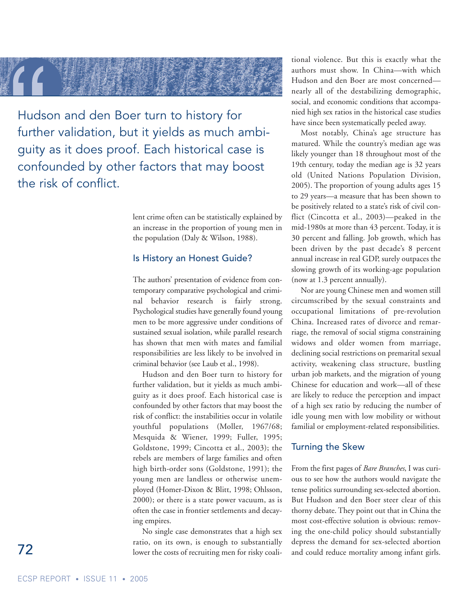

Hudson and den Boer turn to history for further validation, but it yields as much ambiguity as it does proof. Each historical case is confounded by other factors that may boost the risk of conflict.

> lent crime often can be statistically explained by an increase in the proportion of young men in the population (Daly & Wilson, 1988).

#### Is History an Honest Guide?

The authors' presentation of evidence from contemporary comparative psychological and criminal behavior research is fairly strong. Psychological studies have generally found young men to be more aggressive under conditions of sustained sexual isolation, while parallel research has shown that men with mates and familial responsibilities are less likely to be involved in criminal behavior (see Laub et al., 1998).

Hudson and den Boer turn to history for further validation, but it yields as much ambiguity as it does proof. Each historical case is confounded by other factors that may boost the risk of conflict: the instabilities occur in volatile youthful populations (Moller, 1967/68; Mesquida & Wiener, 1999; Fuller, 1995; Goldstone, 1999; Cincotta et al., 2003); the rebels are members of large families and often high birth-order sons (Goldstone, 1991); the young men are landless or otherwise unemployed (Homer-Dixon & Blitt, 1998; Ohlsson, 2000); or there is a state power vacuum, as is often the case in frontier settlements and decaying empires.

No single case demonstrates that a high sex ratio, on its own, is enough to substantially lower the costs of recruiting men for risky coalitional violence. But this is exactly what the authors must show. In China—with which Hudson and den Boer are most concerned nearly all of the destabilizing demographic, social, and economic conditions that accompanied high sex ratios in the historical case studies have since been systematically peeled away.

Most notably, China's age structure has matured. While the country's median age was likely younger than 18 throughout most of the 19th century, today the median age is 32 years old (United Nations Population Division, 2005). The proportion of young adults ages 15 to 29 years—a measure that has been shown to be positively related to a state's risk of civil conflict (Cincotta et al., 2003)—peaked in the mid-1980s at more than 43 percent. Today, it is 30 percent and falling. Job growth, which has been driven by the past decade's 8 percent annual increase in real GDP, surely outpaces the slowing growth of its working-age population (now at 1.3 percent annually).

Nor are young Chinese men and women still circumscribed by the sexual constraints and occupational limitations of pre-revolution China. Increased rates of divorce and remarriage, the removal of social stigma constraining widows and older women from marriage, declining social restrictions on premarital sexual activity, weakening class structure, bustling urban job markets, and the migration of young Chinese for education and work—all of these are likely to reduce the perception and impact of a high sex ratio by reducing the number of idle young men with low mobility or without familial or employment-related responsibilities.

#### Turning the Skew

From the first pages of *Bare Branches*, I was curious to see how the authors would navigate the tense politics surrounding sex-selected abortion. But Hudson and den Boer steer clear of this thorny debate. They point out that in China the most cost-effective solution is obvious: removing the one-child policy should substantially depress the demand for sex-selected abortion and could reduce mortality among infant girls.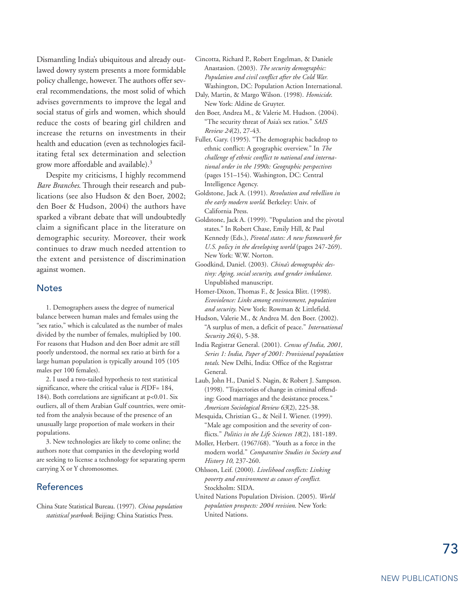Dismantling India's ubiquitous and already outlawed dowry system presents a more formidable policy challenge, however. The authors offer several recommendations, the most solid of which advises governments to improve the legal and social status of girls and women, which should reduce the costs of bearing girl children and increase the returns on investments in their health and education (even as technologies facilitating fetal sex determination and selection grow more affordable and available).3

Despite my criticisms, I highly recommend *Bare Branches*. Through their research and publications (see also Hudson & den Boer, 2002; den Boer & Hudson, 2004) the authors have sparked a vibrant debate that will undoubtedly claim a significant place in the literature on demographic security. Moreover, their work continues to draw much needed attention to the extent and persistence of discrimination against women.

#### **Notes**

1. Demographers assess the degree of numerical balance between human males and females using the "sex ratio," which is calculated as the number of males divided by the number of females, multiplied by 100. For reasons that Hudson and den Boer admit are still poorly understood, the normal sex ratio at birth for a large human population is typically around 105 (105 males per 100 females).

2. I used a two-tailed hypothesis to test statistical significance, where the critical value is *F*(DF= 184, 184). Both correlations are significant at p<0.01. Six outliers, all of them Arabian Gulf countries, were omitted from the analysis because of the presence of an unusually large proportion of male workers in their populations.

3. New technologies are likely to come online; the authors note that companies in the developing world are seeking to license a technology for separating sperm carrying X or Y chromosomes.

#### References

China State Statistical Bureau. (1997). *China population statistical yearbook*. Beijing: China Statistics Press.

- Cincotta, Richard P., Robert Engelman, & Daniele Anastasion. (2003). *The security demographic: Population and civil conflict after the Cold War.* Washington, DC: Population Action International.
- Daly, Martin, & Margo Wilson. (1998). *Homicide*. New York: Aldine de Gruyter.
- den Boer, Andrea M., & Valerie M. Hudson. (2004). "The security threat of Asia's sex ratios." *SAIS Review 24*(2), 27-43.
- Fuller, Gary. (1995). "The demographic backdrop to ethnic conflict: A geographic overview." In *The challenge of ethnic conflict to national and international order in the 1990s: Geographic perspectives* (pages 151–154). Washington, DC: Central Intelligence Agency.
- Goldstone, Jack A. (1991). *Revolution and rebellion in the early modern world*. Berkeley: Univ. of California Press.
- Goldstone, Jack A. (1999). "Population and the pivotal states." In Robert Chase, Emily Hill, & Paul Kennedy (Eds.), *Pivotal states: A new framework for U.S. policy in the developing world* (pages 247-269). New York: W.W. Norton.
- Goodkind, Daniel. (2003). *China's demographic destiny: Aging, social security, and gender imbalance.* Unpublished manuscript.
- Homer-Dixon, Thomas F., & Jessica Blitt. (1998). *Ecoviolence: Links among environment, population and security*. New York: Rowman & Littlefield.
- Hudson, Valerie M., & Andrea M. den Boer. (2002). "A surplus of men, a deficit of peace." *International Security 26*(4), 5-38.
- India Registrar General. (2001). *Census of India, 2001, Series 1: India, Paper of 2001: Provisional population totals*. New Delhi, India: Office of the Registrar General.
- Laub, John H., Daniel S. Nagin, & Robert J. Sampson. (1998). "Trajectories of change in criminal offending: Good marriages and the desistance process." *American Sociological Review 63*(2), 225-38.
- Mesquida, Christian G., & Neil I. Wiener. (1999). "Male age composition and the severity of conflicts." *Politics in the Life Sciences 18*(2), 181-189.
- Moller, Herbert. (1967/68). "Youth as a force in the modern world." *Comparative Studies in Society and History 10*, 237-260.
- Ohlsson, Leif. (2000). *Livelihood conflicts: Linking poverty and environment as causes of conflict.* Stockholm: SIDA.
- United Nations Population Division. (2005). *World population prospects: 2004 revision*. New York: United Nations.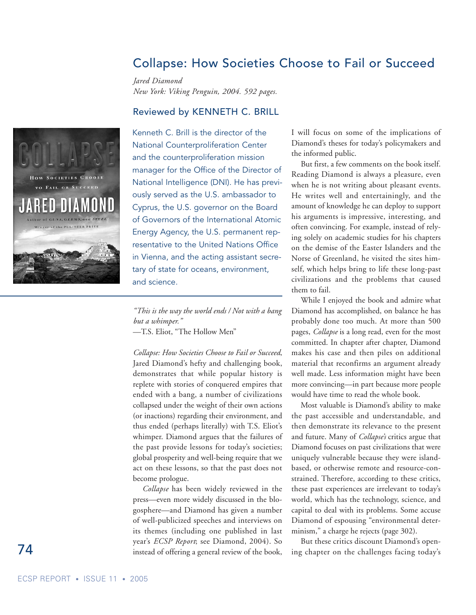### Collapse: How Societies Choose to Fail or Succeed

*Jared Diamond New York: Viking Penguin, 2004. 592 pages.*

#### Reviewed by KENNETH C. BRILL



Kenneth C. Brill is the director of the National Counterproliferation Center and the counterproliferation mission manager for the Office of the Director of National Intelligence (DNI). He has previously served as the U.S. ambassador to Cyprus, the U.S. governor on the Board of Governors of the International Atomic Energy Agency, the U.S. permanent representative to the United Nations Office in Vienna, and the acting assistant secretary of state for oceans, environment, and science.

*"This is the way the world ends / Not with a bang but a whimper."* —T.S. Eliot, "The Hollow Men"

*Collapse: How Societies Choose to Fail or Succeed*, Jared Diamond's hefty and challenging book, demonstrates that while popular history is replete with stories of conquered empires that ended with a bang, a number of civilizations collapsed under the weight of their own actions (or inactions) regarding their environment, and thus ended (perhaps literally) with T.S. Eliot's whimper. Diamond argues that the failures of the past provide lessons for today's societies; global prosperity and well-being require that we act on these lessons, so that the past does not become prologue.

*Collapse* has been widely reviewed in the press—even more widely discussed in the blogosphere—and Diamond has given a number of well-publicized speeches and interviews on its themes (including one published in last year's *ECSP Report*; see Diamond, 2004). So instead of offering a general review of the book,

I will focus on some of the implications of Diamond's theses for today's policymakers and the informed public.

But first, a few comments on the book itself. Reading Diamond is always a pleasure, even when he is not writing about pleasant events. He writes well and entertainingly, and the amount of knowledge he can deploy to support his arguments is impressive, interesting, and often convincing. For example, instead of relying solely on academic studies for his chapters on the demise of the Easter Islanders and the Norse of Greenland, he visited the sites himself, which helps bring to life these long-past civilizations and the problems that caused them to fail.

While I enjoyed the book and admire what Diamond has accomplished, on balance he has probably done too much. At more than 500 pages, *Collapse* is a long read, even for the most committed. In chapter after chapter, Diamond makes his case and then piles on additional material that reconfirms an argument already well made. Less information might have been more convincing—in part because more people would have time to read the whole book.

Most valuable is Diamond's ability to make the past accessible and understandable, and then demonstrate its relevance to the present and future. Many of *Collapse's* critics argue that Diamond focuses on past civilizations that were uniquely vulnerable because they were islandbased, or otherwise remote and resource-constrained. Therefore, according to these critics, these past experiences are irrelevant to today's world, which has the technology, science, and capital to deal with its problems. Some accuse Diamond of espousing "environmental determinism," a charge he rejects (page 302).

But these critics discount Diamond's opening chapter on the challenges facing today's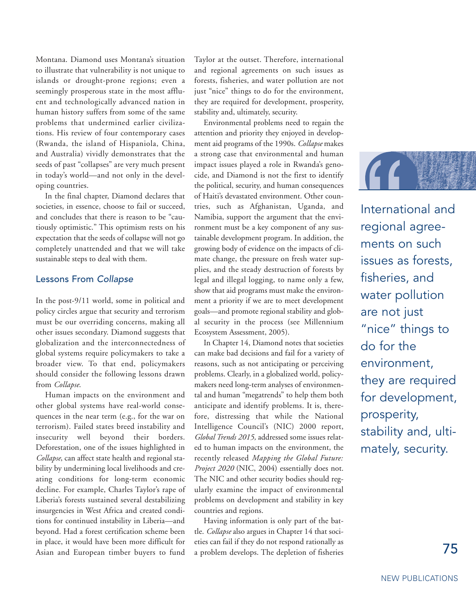Montana. Diamond uses Montana's situation to illustrate that vulnerability is not unique to islands or drought-prone regions; even a seemingly prosperous state in the most affluent and technologically advanced nation in human history suffers from some of the same problems that undermined earlier civilizations. His review of four contemporary cases (Rwanda, the island of Hispaniola, China, and Australia) vividly demonstrates that the seeds of past "collapses" are very much present in today's world—and not only in the developing countries.

In the final chapter, Diamond declares that societies, in essence, choose to fail or succeed, and concludes that there is reason to be "cautiously optimistic." This optimism rests on his expectation that the seeds of collapse will not go completely unattended and that we will take sustainable steps to deal with them.

#### Lessons From *Collapse*

In the post-9/11 world, some in political and policy circles argue that security and terrorism must be our overriding concerns, making all other issues secondary. Diamond suggests that globalization and the interconnectedness of global systems require policymakers to take a broader view. To that end, policymakers should consider the following lessons drawn from *Collapse*.

Human impacts on the environment and other global systems have real-world consequences in the near term (e.g., for the war on terrorism). Failed states breed instability and insecurity well beyond their borders. Deforestation, one of the issues highlighted in *Collapse*, can affect state health and regional stability by undermining local livelihoods and creating conditions for long-term economic decline. For example, Charles Taylor's rape of Liberia's forests sustained several destabilizing insurgencies in West Africa and created conditions for continued instability in Liberia—and beyond. Had a forest certification scheme been in place, it would have been more difficult for Asian and European timber buyers to fund

Taylor at the outset. Therefore, international and regional agreements on such issues as forests, fisheries, and water pollution are not just "nice" things to do for the environment, they are required for development, prosperity, stability and, ultimately, security.

Environmental problems need to regain the attention and priority they enjoyed in development aid programs of the 1990s. *Collapse* makes a strong case that environmental and human impact issues played a role in Rwanda's genocide, and Diamond is not the first to identify the political, security, and human consequences of Haiti's devastated environment. Other countries, such as Afghanistan, Uganda, and Namibia, support the argument that the environment must be a key component of any sustainable development program. In addition, the growing body of evidence on the impacts of climate change, the pressure on fresh water supplies, and the steady destruction of forests by legal and illegal logging, to name only a few, show that aid programs must make the environment a priority if we are to meet development goals—and promote regional stability and global security in the process (see Millennium Ecosystem Assessment, 2005).

In Chapter 14, Diamond notes that societies can make bad decisions and fail for a variety of reasons, such as not anticipating or perceiving problems. Clearly, in a globalized world, policymakers need long-term analyses of environmental and human "megatrends" to help them both anticipate and identify problems. It is, therefore, distressing that while the National Intelligence Council's (NIC) 2000 report, *Global Trends 2015,* addressed some issues related to human impacts on the environment, the recently released *Mapping the Global Future: Project 2020* (NIC, 2004) essentially does not. The NIC and other security bodies should regularly examine the impact of environmental problems on development and stability in key countries and regions.

Having information is only part of the battle. *Collapse* also argues in Chapter 14 that societies can fail if they do not respond rationally as a problem develops. The depletion of fisheries



International and regional agreements on such issues as forests, fisheries, and water pollution are not just "nice" things to do for the environment, they are required for development, prosperity, stability and, ultimately, security.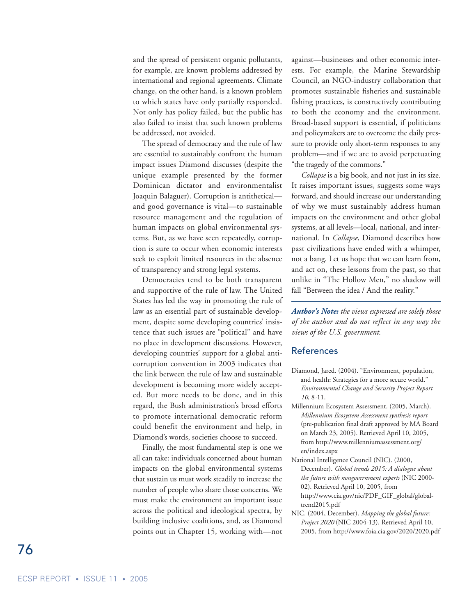and the spread of persistent organic pollutants, for example, are known problems addressed by international and regional agreements. Climate change, on the other hand, is a known problem to which states have only partially responded. Not only has policy failed, but the public has also failed to insist that such known problems be addressed, not avoided.

The spread of democracy and the rule of law are essential to sustainably confront the human impact issues Diamond discusses (despite the unique example presented by the former Dominican dictator and environmentalist Joaquin Balaguer). Corruption is antithetical and good governance is vital—to sustainable resource management and the regulation of human impacts on global environmental systems. But, as we have seen repeatedly, corruption is sure to occur when economic interests seek to exploit limited resources in the absence of transparency and strong legal systems.

Democracies tend to be both transparent and supportive of the rule of law. The United States has led the way in promoting the rule of law as an essential part of sustainable development, despite some developing countries' insistence that such issues are "political" and have no place in development discussions. However, developing countries' support for a global anticorruption convention in 2003 indicates that the link between the rule of law and sustainable development is becoming more widely accepted. But more needs to be done, and in this regard, the Bush administration's broad efforts to promote international democratic reform could benefit the environment and help, in Diamond's words, societies choose to succeed.

Finally, the most fundamental step is one we all can take: individuals concerned about human impacts on the global environmental systems that sustain us must work steadily to increase the number of people who share those concerns. We must make the environment an important issue across the political and ideological spectra, by building inclusive coalitions, and, as Diamond points out in Chapter 15, working with—not

against—businesses and other economic interests. For example, the Marine Stewardship Council, an NGO-industry collaboration that promotes sustainable fisheries and sustainable fishing practices, is constructively contributing to both the economy and the environment. Broad-based support is essential, if politicians and policymakers are to overcome the daily pressure to provide only short-term responses to any problem—and if we are to avoid perpetuating "the tragedy of the commons."

*Collapse* is a big book, and not just in its size. It raises important issues, suggests some ways forward, and should increase our understanding of why we must sustainably address human impacts on the environment and other global systems, at all levels—local, national, and international. In *Collapse*, Diamond describes how past civilizations have ended with a whimper, not a bang. Let us hope that we can learn from, and act on, these lessons from the past, so that unlike in "The Hollow Men," no shadow will fall "Between the idea / And the reality."

*Author's Note: the views expressed are solely those of the author and do not reflect in any way the views of the U.S. government.*

#### References

- Diamond, Jared. (2004). "Environment, population, and health: Strategies for a more secure world." *Environmental Change and Security Project Report 10*, 8-11.
- Millennium Ecosystem Assessment. (2005, March). *Millennium Ecosystem Assessment synthesis report* (pre-publication final draft approved by MA Board on March 23, 2005). Retrieved April 10, 2005, from http://www.millenniumassessment.org/ en/index.aspx
- National Intelligence Council (NIC). (2000, December). *Global trends 2015: A dialogue about the future with nongovernment experts* (NIC 2000- 02). Retrieved April 10, 2005, from http://www.cia.gov/nic/PDF\_GIF\_global/globaltrend2015.pdf
- NIC. (2004, December). *Mapping the global future: Project 2020* (NIC 2004-13). Retrieved April 10, 2005, from http://www.foia.cia.gov/2020/2020.pdf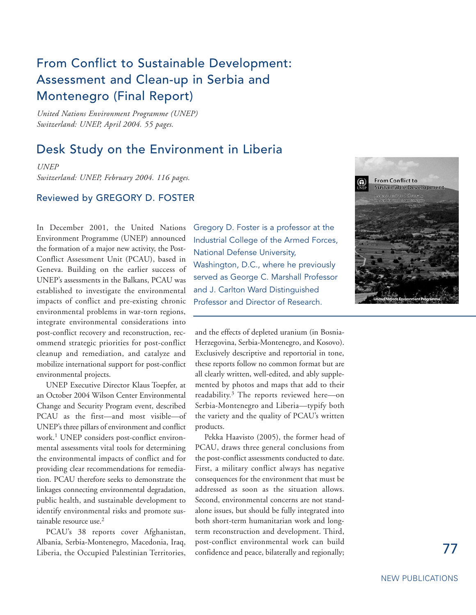# From Conflict to Sustainable Development: Assessment and Clean-up in Serbia and Montenegro (Final Report)

*United Nations Environment Programme (UNEP) Switzerland: UNEP, April 2004. 55 pages.*

### Desk Study on the Environment in Liberia

*UNEP Switzerland: UNEP, February 2004. 116 pages.*

#### Reviewed by GREGORY D. FOSTER

In December 2001, the United Nations Environment Programme (UNEP) announced the formation of a major new activity, the Post-Conflict Assessment Unit (PCAU), based in Geneva. Building on the earlier success of UNEP's assessments in the Balkans, PCAU was established to investigate the environmental impacts of conflict and pre-existing chronic environmental problems in war-torn regions, integrate environmental considerations into post-conflict recovery and reconstruction, recommend strategic priorities for post-conflict cleanup and remediation, and catalyze and mobilize international support for post-conflict environmental projects.

UNEP Executive Director Klaus Toepfer, at an October 2004 Wilson Center Environmental Change and Security Program event, described PCAU as the first—and most visible—of UNEP's three pillars of environment and conflict work.<sup>1</sup> UNEP considers post-conflict environmental assessments vital tools for determining the environmental impacts of conflict and for providing clear recommendations for remediation. PCAU therefore seeks to demonstrate the linkages connecting environmental degradation, public health, and sustainable development to identify environmental risks and promote sustainable resource use.<sup>2</sup>

PCAU's 38 reports cover Afghanistan, Albania, Serbia-Montenegro, Macedonia, Iraq, Liberia, the Occupied Palestinian Territories, Gregory D. Foster is a professor at the Industrial College of the Armed Forces, National Defense University, Washington, D.C., where he previously served as George C. Marshall Professor and J. Carlton Ward Distinguished Professor and Director of Research.

and the effects of depleted uranium (in Bosnia-Herzegovina, Serbia-Montenegro, and Kosovo). Exclusively descriptive and reportorial in tone, these reports follow no common format but are all clearly written, well-edited, and ably supplemented by photos and maps that add to their readability.3 The reports reviewed here—on Serbia-Montenegro and Liberia—typify both the variety and the quality of PCAU's written products.

Pekka Haavisto (2005), the former head of PCAU, draws three general conclusions from the post-conflict assessments conducted to date. First, a military conflict always has negative consequences for the environment that must be addressed as soon as the situation allows. Second, environmental concerns are not standalone issues, but should be fully integrated into both short-term humanitarian work and longterm reconstruction and development. Third, post-conflict environmental work can build confidence and peace, bilaterally and regionally;

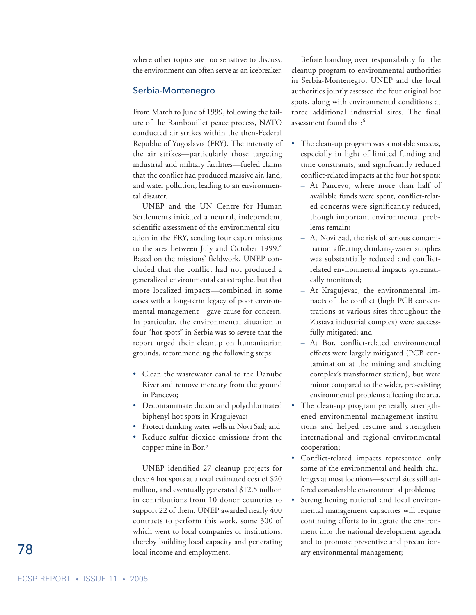where other topics are too sensitive to discuss, the environment can often serve as an icebreaker.

#### Serbia-Montenegro

From March to June of 1999, following the failure of the Rambouillet peace process, NATO conducted air strikes within the then-Federal Republic of Yugoslavia (FRY). The intensity of the air strikes—particularly those targeting industrial and military facilities—fueled claims that the conflict had produced massive air, land, and water pollution, leading to an environmental disaster.

UNEP and the UN Centre for Human Settlements initiated a neutral, independent, scientific assessment of the environmental situation in the FRY, sending four expert missions to the area between July and October 1999.<sup>4</sup> Based on the missions' fieldwork, UNEP concluded that the conflict had not produced a generalized environmental catastrophe, but that more localized impacts—combined in some cases with a long-term legacy of poor environmental management—gave cause for concern. In particular, the environmental situation at four "hot spots" in Serbia was so severe that the report urged their cleanup on humanitarian grounds, recommending the following steps:

- Clean the wastewater canal to the Danube River and remove mercury from the ground in Pancevo;
- Decontaminate dioxin and polychlorinated biphenyl hot spots in Kragujevac;
- Protect drinking water wells in Novi Sad; and
- Reduce sulfur dioxide emissions from the copper mine in Bor. 5

UNEP identified 27 cleanup projects for these 4 hot spots at a total estimated cost of \$20 million, and eventually generated \$12.5 million in contributions from 10 donor countries to support 22 of them. UNEP awarded nearly 400 contracts to perform this work, some 300 of which went to local companies or institutions, thereby building local capacity and generating local income and employment.

Before handing over responsibility for the cleanup program to environmental authorities in Serbia-Montenegro, UNEP and the local authorities jointly assessed the four original hot spots, along with environmental conditions at three additional industrial sites. The final assessment found that:6

- The clean-up program was a notable success, especially in light of limited funding and time constraints, and significantly reduced conflict-related impacts at the four hot spots:
	- At Pancevo, where more than half of available funds were spent, conflict-related concerns were significantly reduced, though important environmental problems remain;
	- At Novi Sad, the risk of serious contamination affecting drinking-water supplies was substantially reduced and conflictrelated environmental impacts systematically monitored;
	- At Kragujevac, the environmental impacts of the conflict (high PCB concentrations at various sites throughout the Zastava industrial complex) were successfully mitigated; and
	- At Bor, conflict-related environmental effects were largely mitigated (PCB contamination at the mining and smelting complex's transformer station), but were minor compared to the wider, pre-existing environmental problems affecting the area.
- The clean-up program generally strengthened environmental management institutions and helped resume and strengthen international and regional environmental cooperation;
- Conflict-related impacts represented only some of the environmental and health challenges at most locations—several sites still suffered considerable environmental problems;
- Strengthening national and local environmental management capacities will require continuing efforts to integrate the environment into the national development agenda and to promote preventive and precautionary environmental management;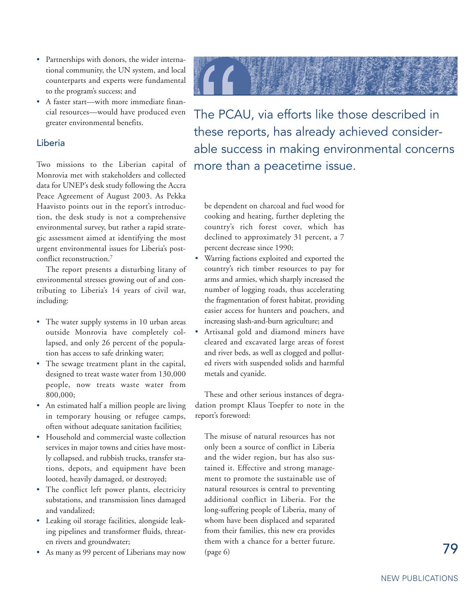- Partnerships with donors, the wider international community, the UN system, and local counterparts and experts were fundamental to the program's success; and
- A faster start—with more immediate financial resources—would have produced even greater environmental benefits.

#### Liberia

Two missions to the Liberian capital of Monrovia met with stakeholders and collected data for UNEP's desk study following the Accra Peace Agreement of August 2003. As Pekka Haavisto points out in the report's introduction, the desk study is not a comprehensive environmental survey, but rather a rapid strategic assessment aimed at identifying the most urgent environmental issues for Liberia's postconflict reconstruction.7

The report presents a disturbing litany of environmental stresses growing out of and contributing to Liberia's 14 years of civil war, including:

- The water supply systems in 10 urban areas outside Monrovia have completely collapsed, and only 26 percent of the population has access to safe drinking water;
- The sewage treatment plant in the capital, designed to treat waste water from 130,000 people, now treats waste water from 800,000;
- An estimated half a million people are living in temporary housing or refugee camps, often without adequate sanitation facilities;
- Household and commercial waste collection services in major towns and cities have mostly collapsed, and rubbish trucks, transfer stations, depots, and equipment have been looted, heavily damaged, or destroyed;
- The conflict left power plants, electricity substations, and transmission lines damaged and vandalized;
- Leaking oil storage facilities, alongside leaking pipelines and transformer fluids, threaten rivers and groundwater;
- As many as 99 percent of Liberians may now



The PCAU, via efforts like those described in these reports, has already achieved considerable success in making environmental concerns more than a peacetime issue.

be dependent on charcoal and fuel wood for cooking and heating, further depleting the country's rich forest cover, which has declined to approximately 31 percent, a 7 percent decrease since 1990;

- Warring factions exploited and exported the country's rich timber resources to pay for arms and armies, which sharply increased the number of logging roads, thus accelerating the fragmentation of forest habitat, providing easier access for hunters and poachers, and increasing slash-and-burn agriculture; and
- Artisanal gold and diamond miners have cleared and excavated large areas of forest and river beds, as well as clogged and polluted rivers with suspended solids and harmful metals and cyanide.

These and other serious instances of degradation prompt Klaus Toepfer to note in the report's foreword:

The misuse of natural resources has not only been a source of conflict in Liberia and the wider region, but has also sustained it. Effective and strong management to promote the sustainable use of natural resources is central to preventing additional conflict in Liberia. For the long-suffering people of Liberia, many of whom have been displaced and separated from their families, this new era provides them with a chance for a better future. (page 6)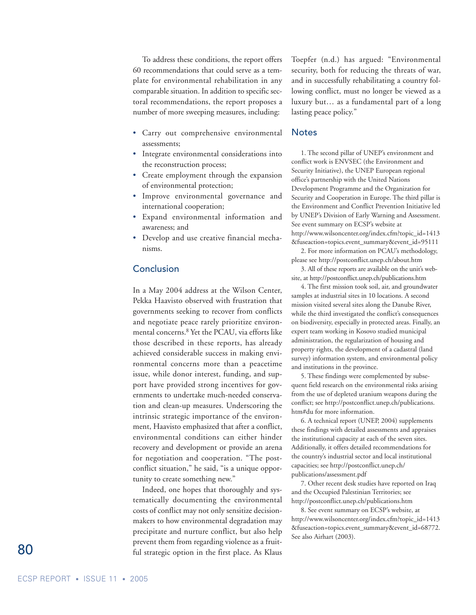To address these conditions, the report offers 60 recommendations that could serve as a template for environmental rehabilitation in any comparable situation. In addition to specific sectoral recommendations, the report proposes a number of more sweeping measures, including:

- Carry out comprehensive environmental assessments;
- Integrate environmental considerations into the reconstruction process;
- Create employment through the expansion of environmental protection;
- Improve environmental governance and international cooperation;
- Expand environmental information and awareness; and
- Develop and use creative financial mechanisms.

#### **Conclusion**

In a May 2004 address at the Wilson Center, Pekka Haavisto observed with frustration that governments seeking to recover from conflicts and negotiate peace rarely prioritize environmental concerns.8 Yet the PCAU, via efforts like those described in these reports, has already achieved considerable success in making environmental concerns more than a peacetime issue, while donor interest, funding, and support have provided strong incentives for governments to undertake much-needed conservation and clean-up measures. Underscoring the intrinsic strategic importance of the environment, Haavisto emphasized that after a conflict, environmental conditions can either hinder recovery and development or provide an arena for negotiation and cooperation. "The postconflict situation," he said, "is a unique opportunity to create something new."

Indeed, one hopes that thoroughly and systematically documenting the environmental costs of conflict may not only sensitize decisionmakers to how environmental degradation may precipitate and nurture conflict, but also help prevent them from regarding violence as a fruitful strategic option in the first place. As Klaus

Toepfer (n.d.) has argued: "Environmental security, both for reducing the threats of war, and in successfully rehabilitating a country following conflict, must no longer be viewed as a luxury but… as a fundamental part of a long lasting peace policy."

#### **Notes**

1. The second pillar of UNEP's environment and conflict work is ENVSEC (the Environment and Security Initiative), the UNEP European regional office's partnership with the United Nations Development Programme and the Organization for Security and Cooperation in Europe. The third pillar is the Environment and Conflict Prevention Initiative led by UNEP's Division of Early Warning and Assessment. See event summary on ECSP's website at http://www.wilsoncenter.org/index.cfm?topic\_id=1413 &fuseaction=topics.event\_summary&event\_id=95111

2. For more information on PCAU's methodology, please see http://postconflict.unep.ch/about.htm

3. All of these reports are available on the unit's website, at http://postconflict.unep.ch/publications.htm

4. The first mission took soil, air, and groundwater samples at industrial sites in 10 locations. A second mission visited several sites along the Danube River, while the third investigated the conflict's consequences on biodiversity, especially in protected areas. Finally, an expert team working in Kosovo studied municipal administration, the regularization of housing and property rights, the development of a cadastral (land survey) information system, and environmental policy and institutions in the province.

5. These findings were complemented by subsequent field research on the environmental risks arising from the use of depleted uranium weapons during the conflict; see http://postconflict.unep.ch/publications. htm#du for more information.

6. A technical report (UNEP, 2004) supplements these findings with detailed assessments and appraises the institutional capacity at each of the seven sites. Additionally, it offers detailed recommendations for the country's industrial sector and local institutional capacities; see http://postconflict.unep.ch/ publications/assessment.pdf

7. Other recent desk studies have reported on Iraq and the Occupied Palestinian Territories; see http://postconflict.unep.ch/publications.htm

8. See event summary on ECSP's website, at http://www.wilsoncenter.org/index.cfm?topic\_id=1413 &fuseaction=topics.event\_summary&event\_id=68772. See also Airhart (2003).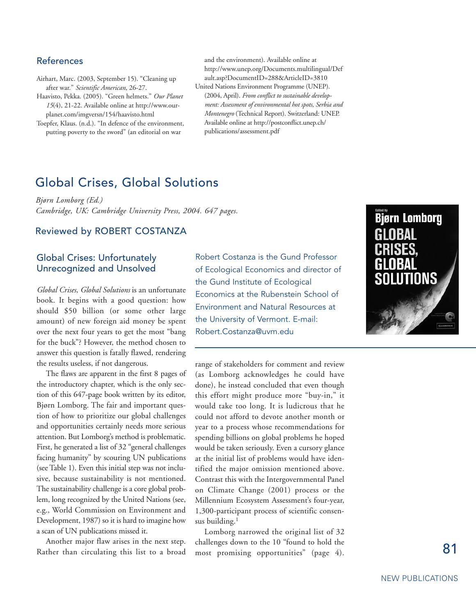#### References

Airhart, Marc. (2003, September 15). "Cleaning up after war." *Scientific American*, 26-27.

Haavisto, Pekka. (2005). "Green helmets." *Our Planet 15*(4), 21-22. Available online at http://www.ourplanet.com/imgversn/154/haavisto.html

Toepfer, Klaus. (n.d.). "In defence of the environment, putting poverty to the sword" (an editorial on war

and the environment). Available online at http://www.unep.org/Documents.multilingual/Def ault.asp?DocumentID=288&ArticleID=3810 United Nations Environment Programme (UNEP). (2004, April). *From conflict to sustainable development: Assessment of environmental hot spots, Serbia and Montenegro* (Technical Report). Switzerland: UNEP. Available online at http://postconflict.unep.ch/ publications/assessment.pdf

## Global Crises, Global Solutions

*Bjørn Lomborg (Ed.) Cambridge, UK: Cambridge University Press, 2004. 647 pages.*

#### Reviewed by ROBERT COSTANZA

#### Global Crises: Unfortunately Unrecognized and Unsolved

*Global Crises, Global Solutions* is an unfortunate book. It begins with a good question: how should \$50 billion (or some other large amount) of new foreign aid money be spent over the next four years to get the most "bang for the buck"? However, the method chosen to answer this question is fatally flawed, rendering the results useless, if not dangerous.

The flaws are apparent in the first 8 pages of the introductory chapter, which is the only section of this 647-page book written by its editor, Bjørn Lomborg. The fair and important question of how to prioritize our global challenges and opportunities certainly needs more serious attention. But Lomborg's method is problematic. First, he generated a list of 32 "general challenges facing humanity" by scouring UN publications (see Table 1). Even this initial step was not inclusive, because sustainability is not mentioned. The sustainability challenge is a core global problem, long recognized by the United Nations (see, e.g., World Commission on Environment and Development, 1987) so it is hard to imagine how a scan of UN publications missed it.

Another major flaw arises in the next step. Rather than circulating this list to a broad Robert Costanza is the Gund Professor of Ecological Economics and director of the Gund Institute of Ecological Economics at the Rubenstein School of Environment and Natural Resources at the University of Vermont. E-mail: Robert.Costanza@uvm.edu

range of stakeholders for comment and review (as Lomborg acknowledges he could have done), he instead concluded that even though this effort might produce more "buy-in," it would take too long. It is ludicrous that he could not afford to devote another month or year to a process whose recommendations for spending billions on global problems he hoped would be taken seriously. Even a cursory glance at the initial list of problems would have identified the major omission mentioned above. Contrast this with the Intergovernmental Panel on Climate Change (2001) process or the Millennium Ecosystem Assessment's four-year, 1,300-participant process of scientific consensus building.<sup>1</sup>

Lomborg narrowed the original list of 32 challenges down to the 10 "found to hold the most promising opportunities" (page 4).

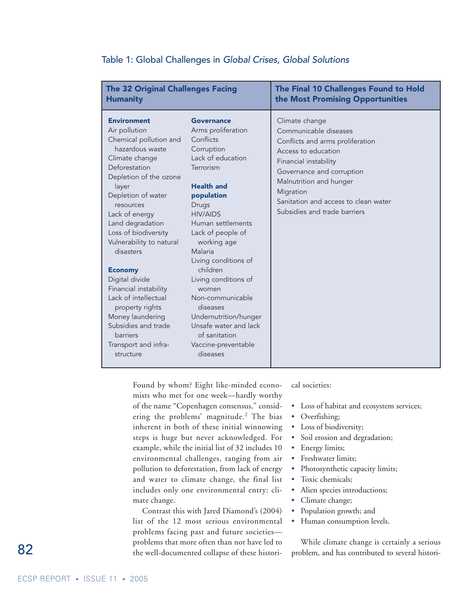| <b>The 32 Original Challenges Facing</b>                                                                                                                                                                                                                                                                                                                                                                                                                                                             |                                                                                                                                                                                                                                                                                                                                                                                                                                                    | The Final 10 Challenges Found to Hold                                                                                                                                                                                                                                    |
|------------------------------------------------------------------------------------------------------------------------------------------------------------------------------------------------------------------------------------------------------------------------------------------------------------------------------------------------------------------------------------------------------------------------------------------------------------------------------------------------------|----------------------------------------------------------------------------------------------------------------------------------------------------------------------------------------------------------------------------------------------------------------------------------------------------------------------------------------------------------------------------------------------------------------------------------------------------|--------------------------------------------------------------------------------------------------------------------------------------------------------------------------------------------------------------------------------------------------------------------------|
| <b>Humanity</b>                                                                                                                                                                                                                                                                                                                                                                                                                                                                                      |                                                                                                                                                                                                                                                                                                                                                                                                                                                    | the Most Promising Opportunities                                                                                                                                                                                                                                         |
| <b>Environment</b><br>Air pollution<br>Chemical pollution and<br>hazardous waste<br>Climate change<br>Deforestation<br>Depletion of the ozone<br>layer<br>Depletion of water<br>resources<br>Lack of energy<br>Land degradation<br>Loss of biodiversity<br>Vulnerability to natural<br>disasters<br><b>Economy</b><br>Digital divide<br>Financial instability<br>Lack of intellectual<br>property rights<br>Money laundering<br>Subsidies and trade<br>barriers<br>Transport and infra-<br>structure | <b>Governance</b><br>Arms proliferation<br>Conflicts<br>Corruption<br>Lack of education<br>Terrorism<br><b>Health and</b><br>population<br>Drugs<br><b>HIV/AIDS</b><br>Human settlements<br>Lack of people of<br>working age<br>Malaria<br>Living conditions of<br>children<br>Living conditions of<br>women<br>Non-communicable<br>diseases<br>Undernutrition/hunger<br>Unsafe water and lack<br>of sanitation<br>Vaccine-preventable<br>diseases | Climate change<br>Communicable diseases<br>Conflicts and arms proliferation<br>Access to education<br>Financial instability<br>Governance and corruption<br>Malnutrition and hunger<br>Migration<br>Sanitation and access to clean water<br>Subsidies and trade barriers |

#### Table 1: Global Challenges in *Global Crises, Global Solutions*

Found by whom? Eight like-minded economists who met for one week—hardly worthy of the name "Copenhagen consensus," considering the problems' magnitude.<sup>2</sup> The bias inherent in both of these initial winnowing steps is huge but never acknowledged. For example, while the initial list of 32 includes 10 environmental challenges, ranging from air pollution to deforestation, from lack of energy and water to climate change, the final list includes only one environmental entry: climate change.

Contrast this with Jared Diamond's (2004) list of the 12 most serious environmental problems facing past and future societies problems that more often than not have led to the well-documented collapse of these historical societies:

- Loss of habitat and ecosystem services;
- Overfishing;
- Loss of biodiversity;
- Soil erosion and degradation;
- Energy limits;
- Freshwater limits;
- Photosynthetic capacity limits;
- Toxic chemicals;
- Alien species introductions;
- Climate change;
- Population growth; and
- Human consumption levels.

While climate change is certainly a serious problem, and has contributed to several histori-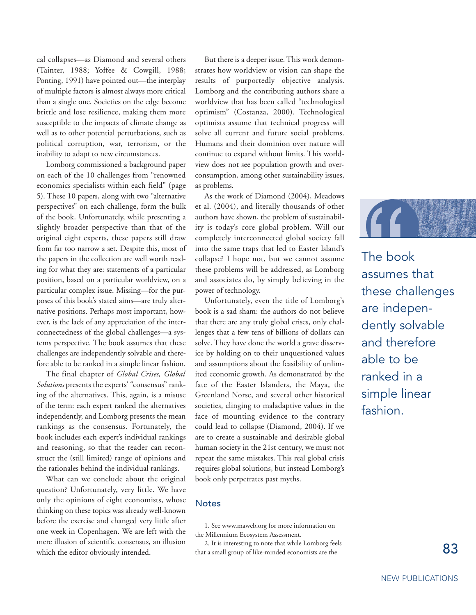cal collapses—as Diamond and several others (Tainter, 1988; Yoffee & Cowgill, 1988; Ponting, 1991) have pointed out—the interplay of multiple factors is almost always more critical than a single one. Societies on the edge become brittle and lose resilience, making them more susceptible to the impacts of climate change as well as to other potential perturbations, such as political corruption, war, terrorism, or the inability to adapt to new circumstances.

Lomborg commissioned a background paper on each of the 10 challenges from "renowned economics specialists within each field" (page 5). These 10 papers, along with two "alternative perspectives" on each challenge, form the bulk of the book. Unfortunately, while presenting a slightly broader perspective than that of the original eight experts, these papers still draw from far too narrow a set. Despite this, most of the papers in the collection are well worth reading for what they are: statements of a particular position, based on a particular worldview, on a particular complex issue. Missing—for the purposes of this book's stated aims—are truly alternative positions. Perhaps most important, however, is the lack of any appreciation of the interconnectedness of the global challenges—a systems perspective. The book assumes that these challenges are independently solvable and therefore able to be ranked in a simple linear fashion.

The final chapter of *Global Crises, Global Solutions* presents the experts' "consensus" ranking of the alternatives. This, again, is a misuse of the term: each expert ranked the alternatives independently, and Lomborg presents the mean rankings as the consensus. Fortunately, the book includes each expert's individual rankings and reasoning, so that the reader can reconstruct the (still limited) range of opinions and the rationales behind the individual rankings.

What can we conclude about the original question? Unfortunately, very little. We have only the opinions of eight economists, whose thinking on these topics was already well-known before the exercise and changed very little after one week in Copenhagen. We are left with the mere illusion of scientific consensus, an illusion which the editor obviously intended.

But there is a deeper issue. This work demonstrates how worldview or vision can shape the results of purportedly objective analysis. Lomborg and the contributing authors share a worldview that has been called "technological optimism" (Costanza, 2000). Technological optimists assume that technical progress will solve all current and future social problems. Humans and their dominion over nature will continue to expand without limits. This worldview does not see population growth and overconsumption, among other sustainability issues, as problems.

As the work of Diamond (2004), Meadows et al. (2004), and literally thousands of other authors have shown, the problem of sustainability is today's core global problem. Will our completely interconnected global society fall into the same traps that led to Easter Island's collapse? I hope not, but we cannot assume these problems will be addressed, as Lomborg and associates do, by simply believing in the power of technology.

Unfortunately, even the title of Lomborg's book is a sad sham: the authors do not believe that there are any truly global crises, only challenges that a few tens of billions of dollars can solve. They have done the world a grave disservice by holding on to their unquestioned values and assumptions about the feasibility of unlimited economic growth. As demonstrated by the fate of the Easter Islanders, the Maya, the Greenland Norse, and several other historical societies, clinging to maladaptive values in the face of mounting evidence to the contrary could lead to collapse (Diamond, 2004). If we are to create a sustainable and desirable global human society in the 21st century, we must not repeat the same mistakes. This real global crisis requires global solutions, but instead Lomborg's book only perpetrates past myths.

#### **Notes**

1. See www.maweb.org for more information on the Millennium Ecosystem Assessment.

2. It is interesting to note that while Lomborg feels that a small group of like-minded economists are the



The book assumes that these challenges are independently solvable and therefore able to be ranked in a simple linear fashion.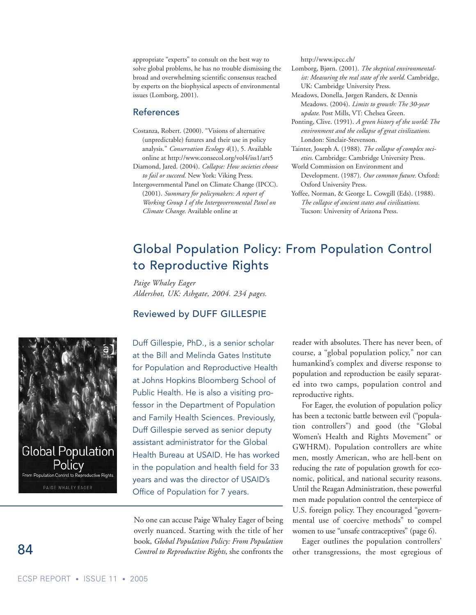appropriate "experts" to consult on the best way to solve global problems, he has no trouble dismissing the broad and overwhelming scientific consensus reached by experts on the biophysical aspects of environmental issues (Lomborg, 2001).

#### References

- Costanza, Robert. (2000). "Visions of alternative (unpredictable) futures and their use in policy analysis." *Conservation Ecology 4*(1), 5. Available online at http://www.consecol.org/vol4/iss1/art5
- Diamond, Jared. (2004). *Collapse: How societies choose to fail or succeed.* New York: Viking Press.
- Intergovernmental Panel on Climate Change (IPCC). (2001). *Summary for policymakers: A report of Working Group I of the Intergovernmental Panel on Climate Change*. Available online at

http://www.ipcc.ch/

- Lomborg, Bjørn. (2001). *The skeptical environmentalist: Measuring the real state of the world.* Cambridge, UK: Cambridge University Press.
- Meadows, Donella, Jørgen Randers, & Dennis Meadows. (2004). *Limits to growth: The 30-year update*. Post Mills, VT: Chelsea Green.
- Ponting, Clive. (1991). *A green history of the world: The environment and the collapse of great civilizations.* London: Sinclair-Stevenson.
- Tainter, Joseph A. (1988). *The collapse of complex societies*. Cambridge: Cambridge University Press.
- World Commission on Environment and Development. (1987). *Our common future.* Oxford: Oxford University Press.
- Yoffee, Norman, & George L. Cowgill (Eds). (1988). *The collapse of ancient states and civilizations.* Tucson: University of Arizona Press.

# Global Population Policy: From Population Control to Reproductive Rights

*Paige Whaley Eager Aldershot, UK: Ashgate, 2004. 234 pages.*

#### Reviewed by DUFF GILLESPIE



Duff Gillespie, PhD., is a senior scholar at the Bill and Melinda Gates Institute for Population and Reproductive Health at Johns Hopkins Bloomberg School of Public Health. He is also a visiting professor in the Department of Population and Family Health Sciences. Previously, Duff Gillespie served as senior deputy assistant administrator for the Global Health Bureau at USAID. He has worked in the population and health field for 33 years and was the director of USAID's Office of Population for 7 years.

No one can accuse Paige Whaley Eager of being overly nuanced. Starting with the title of her book, *Global Population Policy: From Population Control to Reproductive Rights,* she confronts the reader with absolutes. There has never been, of course, a "global population policy," nor can humankind's complex and diverse response to population and reproduction be easily separated into two camps, population control and reproductive rights.

For Eager, the evolution of population policy has been a tectonic battle between evil ("population controllers") and good (the "Global Women's Health and Rights Movement" or GWHRM). Population controllers are white men, mostly American, who are hell-bent on reducing the rate of population growth for economic, political, and national security reasons. Until the Reagan Administration, these powerful men made population control the centerpiece of U.S. foreign policy. They encouraged "governmental use of coercive methods" to compel women to use "unsafe contraceptives" (page 6).

Eager outlines the population controllers' other transgressions, the most egregious of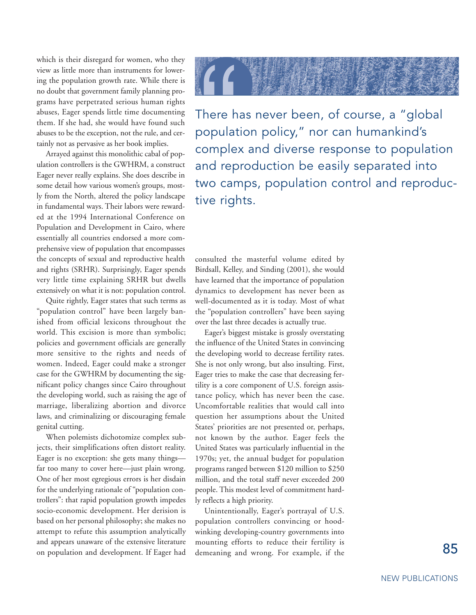which is their disregard for women, who they view as little more than instruments for lowering the population growth rate. While there is no doubt that government family planning programs have perpetrated serious human rights abuses, Eager spends little time documenting them. If she had, she would have found such abuses to be the exception, not the rule, and certainly not as pervasive as her book implies.

Arrayed against this monolithic cabal of population controllers is the GWHRM, a construct Eager never really explains. She does describe in some detail how various women's groups, mostly from the North, altered the policy landscape in fundamental ways. Their labors were rewarded at the 1994 International Conference on Population and Development in Cairo, where essentially all countries endorsed a more comprehensive view of population that encompasses the concepts of sexual and reproductive health and rights (SRHR). Surprisingly, Eager spends very little time explaining SRHR but dwells extensively on what it is not: population control.

Quite rightly, Eager states that such terms as "population control" have been largely banished from official lexicons throughout the world. This excision is more than symbolic; policies and government officials are generally more sensitive to the rights and needs of women. Indeed, Eager could make a stronger case for the GWHRM by documenting the significant policy changes since Cairo throughout the developing world, such as raising the age of marriage, liberalizing abortion and divorce laws, and criminalizing or discouraging female genital cutting.

When polemists dichotomize complex subjects, their simplifications often distort reality. Eager is no exception: she gets many things far too many to cover here—just plain wrong. One of her most egregious errors is her disdain for the underlying rationale of "population controllers": that rapid population growth impedes socio-economic development. Her derision is based on her personal philosophy; she makes no attempt to refute this assumption analytically and appears unaware of the extensive literature on population and development. If Eager had



There has never been, of course, a "global population policy," nor can humankind's complex and diverse response to population and reproduction be easily separated into two camps, population control and reproductive rights.

consulted the masterful volume edited by Birdsall, Kelley, and Sinding (2001), she would have learned that the importance of population dynamics to development has never been as well-documented as it is today. Most of what the "population controllers" have been saying over the last three decades is actually true.

Eager's biggest mistake is grossly overstating the influence of the United States in convincing the developing world to decrease fertility rates. She is not only wrong, but also insulting. First, Eager tries to make the case that decreasing fertility is a core component of U.S. foreign assistance policy, which has never been the case. Uncomfortable realities that would call into question her assumptions about the United States' priorities are not presented or, perhaps, not known by the author. Eager feels the United States was particularly influential in the 1970s; yet, the annual budget for population programs ranged between \$120 million to \$250 million, and the total staff never exceeded 200 people. This modest level of commitment hardly reflects a high priority.

Unintentionally, Eager's portrayal of U.S. population controllers convincing or hoodwinking developing-country governments into mounting efforts to reduce their fertility is demeaning and wrong. For example, if the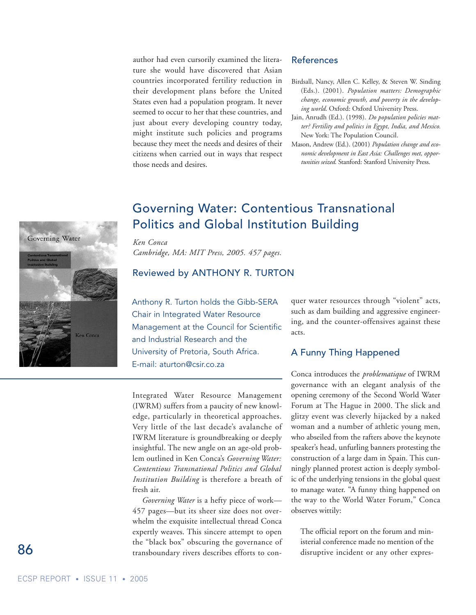author had even cursorily examined the literature she would have discovered that Asian countries incorporated fertility reduction in their development plans before the United States even had a population program. It never seemed to occur to her that these countries, and just about every developing country today, might institute such policies and programs because they meet the needs and desires of their citizens when carried out in ways that respect those needs and desires.

#### References

- Birdsall, Nancy, Allen C. Kelley, & Steven W. Sinding (Eds.). (2001). *Population matters: Demographic change, economic growth, and poverty in the developing world*. Oxford: Oxford University Press.
- Jain, Anrudh (Ed.). (1998). *Do population policies matter? Fertility and politics in Egypt, India, and Mexico.* New York: The Population Council.
- Mason, Andrew (Ed.). (2001) *Population change and economic development in East Asia: Challenges met, opportunities seized*. Stanford: Stanford University Press.



## Governing Water: Contentious Transnational Politics and Global Institution Building

*Ken Conca Cambridge, MA: MIT Press, 2005. 457 pages.* 

#### Reviewed by ANTHONY R. TURTON

Anthony R. Turton holds the Gibb-SERA Chair in Integrated Water Resource Management at the Council for Scientific and Industrial Research and the University of Pretoria, South Africa. E-mail: aturton@csir.co.za

Integrated Water Resource Management (IWRM) suffers from a paucity of new knowledge, particularly in theoretical approaches. Very little of the last decade's avalanche of IWRM literature is groundbreaking or deeply insightful. The new angle on an age-old problem outlined in Ken Conca's *Governing Water: Contentious Transnational Politics and Global Institution Building* is therefore a breath of fresh air.

*Governing Water* is a hefty piece of work— 457 pages—but its sheer size does not overwhelm the exquisite intellectual thread Conca expertly weaves. This sincere attempt to open the "black box" obscuring the governance of transboundary rivers describes efforts to con-

quer water resources through "violent" acts, such as dam building and aggressive engineering, and the counter-offensives against these acts.

#### A Funny Thing Happened

Conca introduces the *problematique* of IWRM governance with an elegant analysis of the opening ceremony of the Second World Water Forum at The Hague in 2000. The slick and glitzy event was cleverly hijacked by a naked woman and a number of athletic young men, who abseiled from the rafters above the keynote speaker's head, unfurling banners protesting the construction of a large dam in Spain. This cunningly planned protest action is deeply symbolic of the underlying tensions in the global quest to manage water. "A funny thing happened on the way to the World Water Forum," Conca observes wittily:

The official report on the forum and ministerial conference made no mention of the disruptive incident or any other expres-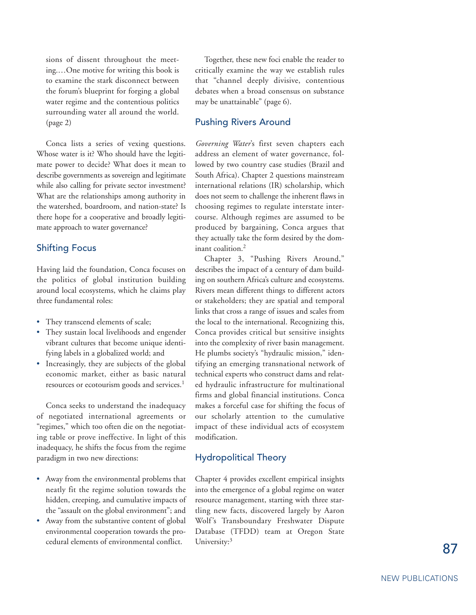sions of dissent throughout the meeting.…One motive for writing this book is to examine the stark disconnect between the forum's blueprint for forging a global water regime and the contentious politics surrounding water all around the world. (page 2)

Conca lists a series of vexing questions. Whose water is it? Who should have the legitimate power to decide? What does it mean to describe governments as sovereign and legitimate while also calling for private sector investment? What are the relationships among authority in the watershed, boardroom, and nation-state? Is there hope for a cooperative and broadly legitimate approach to water governance?

#### Shifting Focus

Having laid the foundation, Conca focuses on the politics of global institution building around local ecosystems, which he claims play three fundamental roles:

- They transcend elements of scale;
- They sustain local livelihoods and engender vibrant cultures that become unique identifying labels in a globalized world; and
- Increasingly, they are subjects of the global economic market, either as basic natural resources or ecotourism goods and services.<sup>1</sup>

Conca seeks to understand the inadequacy of negotiated international agreements or "regimes," which too often die on the negotiating table or prove ineffective. In light of this inadequacy, he shifts the focus from the regime paradigm in two new directions:

- Away from the environmental problems that neatly fit the regime solution towards the hidden, creeping, and cumulative impacts of the "assault on the global environment"; and
- Away from the substantive content of global environmental cooperation towards the procedural elements of environmental conflict.

Together, these new foci enable the reader to critically examine the way we establish rules that "channel deeply divisive, contentious debates when a broad consensus on substance may be unattainable" (page 6).

#### Pushing Rivers Around

*Governing Water*'s first seven chapters each address an element of water governance, followed by two country case studies (Brazil and South Africa). Chapter 2 questions mainstream international relations (IR) scholarship, which does not seem to challenge the inherent flaws in choosing regimes to regulate interstate intercourse. Although regimes are assumed to be produced by bargaining, Conca argues that they actually take the form desired by the dominant coalition.2

Chapter 3, "Pushing Rivers Around," describes the impact of a century of dam building on southern Africa's culture and ecosystems. Rivers mean different things to different actors or stakeholders; they are spatial and temporal links that cross a range of issues and scales from the local to the international. Recognizing this, Conca provides critical but sensitive insights into the complexity of river basin management. He plumbs society's "hydraulic mission," identifying an emerging transnational network of technical experts who construct dams and related hydraulic infrastructure for multinational firms and global financial institutions. Conca makes a forceful case for shifting the focus of our scholarly attention to the cumulative impact of these individual acts of ecosystem modification.

#### Hydropolitical Theory

Chapter 4 provides excellent empirical insights into the emergence of a global regime on water resource management, starting with three startling new facts, discovered largely by Aaron Wolf's Transboundary Freshwater Dispute Database (TFDD) team at Oregon State University:<sup>3</sup>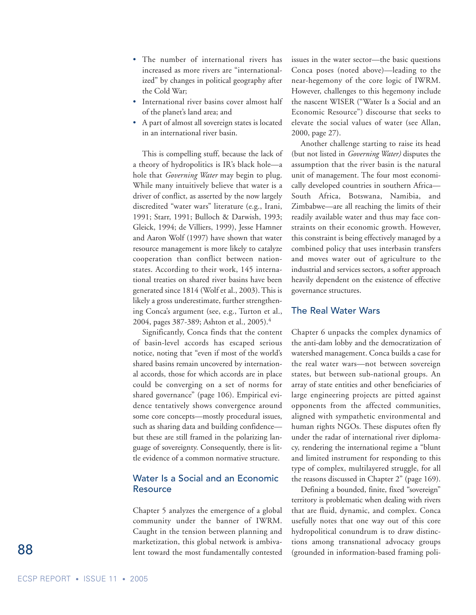- The number of international rivers has increased as more rivers are "internationalized" by changes in political geography after the Cold War;
- International river basins cover almost half of the planet's land area; and
- A part of almost all sovereign states is located in an international river basin.

This is compelling stuff, because the lack of a theory of hydropolitics is IR's black hole—a hole that *Governing Water* may begin to plug. While many intuitively believe that water is a driver of conflict, as asserted by the now largely discredited "water wars" literature (e.g., Irani, 1991; Starr, 1991; Bulloch & Darwish, 1993; Gleick, 1994; de Villiers, 1999), Jesse Hamner and Aaron Wolf (1997) have shown that water resource management is more likely to catalyze cooperation than conflict between nationstates. According to their work, 145 international treaties on shared river basins have been generated since 1814 (Wolf et al., 2003). This is likely a gross underestimate, further strengthening Conca's argument (see, e.g., Turton et al., 2004, pages 387-389; Ashton et al.*,* 2005).4

Significantly, Conca finds that the content of basin-level accords has escaped serious notice, noting that "even if most of the world's shared basins remain uncovered by international accords, those for which accords are in place could be converging on a set of norms for shared governance" (page 106). Empirical evidence tentatively shows convergence around some core concepts—mostly procedural issues, such as sharing data and building confidence but these are still framed in the polarizing language of sovereignty. Consequently, there is little evidence of a common normative structure.

#### Water Is a Social and an Economic Resource

Chapter 5 analyzes the emergence of a global community under the banner of IWRM. Caught in the tension between planning and marketization, this global network is ambivalent toward the most fundamentally contested issues in the water sector—the basic questions Conca poses (noted above)—leading to the near-hegemony of the core logic of IWRM. However, challenges to this hegemony include the nascent WISER ("Water Is a Social and an Economic Resource") discourse that seeks to elevate the social values of water (see Allan, 2000, page 27).

Another challenge starting to raise its head (but not listed in *Governing Water)* disputes the assumption that the river basin is the natural unit of management. The four most economically developed countries in southern Africa— South Africa, Botswana, Namibia, and Zimbabwe—are all reaching the limits of their readily available water and thus may face constraints on their economic growth. However, this constraint is being effectively managed by a combined policy that uses interbasin transfers and moves water out of agriculture to the industrial and services sectors, a softer approach heavily dependent on the existence of effective governance structures.

#### The Real Water Wars

Chapter 6 unpacks the complex dynamics of the anti-dam lobby and the democratization of watershed management. Conca builds a case for the real water wars—not between sovereign states, but between sub-national groups. An array of state entities and other beneficiaries of large engineering projects are pitted against opponents from the affected communities, aligned with sympathetic environmental and human rights NGOs. These disputes often fly under the radar of international river diplomacy, rendering the international regime a "blunt and limited instrument for responding to this type of complex, multilayered struggle, for all the reasons discussed in Chapter 2" (page 169).

Defining a bounded, finite, fixed "sovereign" territory is problematic when dealing with rivers that are fluid, dynamic, and complex. Conca usefully notes that one way out of this core hydropolitical conundrum is to draw distinctions among transnational advocacy groups (grounded in information-based framing poli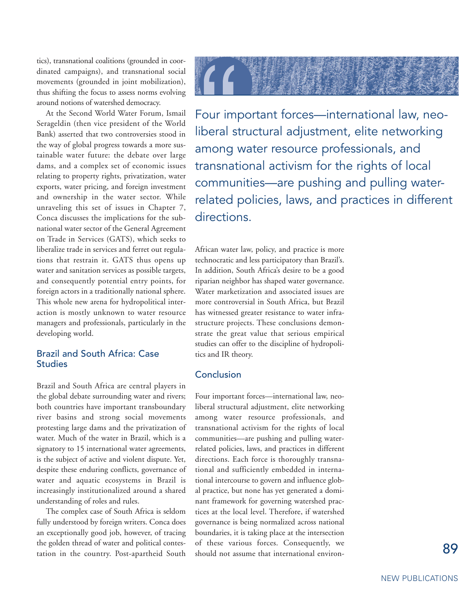tics), transnational coalitions (grounded in coordinated campaigns), and transnational social movements (grounded in joint mobilization), thus shifting the focus to assess norms evolving around notions of watershed democracy.

At the Second World Water Forum, Ismail Serageldin (then vice president of the World Bank) asserted that two controversies stood in the way of global progress towards a more sustainable water future: the debate over large dams, and a complex set of economic issues relating to property rights, privatization, water exports, water pricing, and foreign investment and ownership in the water sector. While unraveling this set of issues in Chapter 7, Conca discusses the implications for the subnational water sector of the General Agreement on Trade in Services (GATS), which seeks to liberalize trade in services and ferret out regulations that restrain it. GATS thus opens up water and sanitation services as possible targets, and consequently potential entry points, for foreign actors in a traditionally national sphere. This whole new arena for hydropolitical interaction is mostly unknown to water resource managers and professionals, particularly in the developing world.

#### Brazil and South Africa: Case **Studies**

Brazil and South Africa are central players in the global debate surrounding water and rivers; both countries have important transboundary river basins and strong social movements protesting large dams and the privatization of water. Much of the water in Brazil, which is a signatory to 15 international water agreements, is the subject of active and violent dispute. Yet, despite these enduring conflicts, governance of water and aquatic ecosystems in Brazil is increasingly institutionalized around a shared understanding of roles and rules.

The complex case of South Africa is seldom fully understood by foreign writers. Conca does an exceptionally good job, however, of tracing the golden thread of water and political contestation in the country. Post-apartheid South



Four important forces—international law, neoliberal structural adjustment, elite networking among water resource professionals, and transnational activism for the rights of local communities—are pushing and pulling waterrelated policies, laws, and practices in different directions.

African water law, policy, and practice is more technocratic and less participatory than Brazil's. In addition, South Africa's desire to be a good riparian neighbor has shaped water governance. Water marketization and associated issues are more controversial in South Africa, but Brazil has witnessed greater resistance to water infrastructure projects. These conclusions demonstrate the great value that serious empirical studies can offer to the discipline of hydropolitics and IR theory.

#### **Conclusion**

Four important forces—international law, neoliberal structural adjustment, elite networking among water resource professionals, and transnational activism for the rights of local communities—are pushing and pulling waterrelated policies, laws, and practices in different directions. Each force is thoroughly transnational and sufficiently embedded in international intercourse to govern and influence global practice, but none has yet generated a dominant framework for governing watershed practices at the local level. Therefore, if watershed governance is being normalized across national boundaries, it is taking place at the intersection of these various forces. Consequently, we should not assume that international environ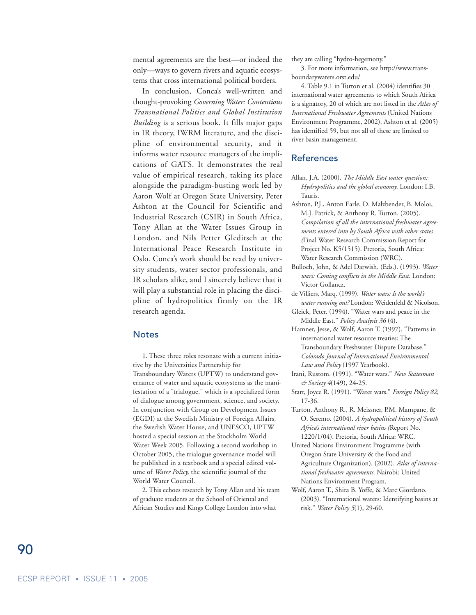mental agreements are the best—or indeed the only—ways to govern rivers and aquatic ecosystems that cross international political borders.

In conclusion, Conca's well-written and thought-provoking *Governing Water: Contentious Transnational Politics and Global Institution Building* is a serious book. It fills major gaps in IR theory, IWRM literature, and the discipline of environmental security, and it informs water resource managers of the implications of GATS. It demonstrates the real value of empirical research, taking its place alongside the paradigm-busting work led by Aaron Wolf at Oregon State University, Peter Ashton at the Council for Scientific and Industrial Research (CSIR) in South Africa, Tony Allan at the Water Issues Group in London, and Nils Petter Gleditsch at the International Peace Research Institute in Oslo. Conca's work should be read by university students, water sector professionals, and IR scholars alike, and I sincerely believe that it will play a substantial role in placing the discipline of hydropolitics firmly on the IR research agenda.

#### **Notes**

1. These three roles resonate with a current initiative by the Universities Partnership for Transboundary Waters (UPTW) to understand governance of water and aquatic ecosystems as the manifestation of a "trialogue," which is a specialized form of dialogue among government, science, and society. In conjunction with Group on Development Issues (EGDI) at the Swedish Ministry of Foreign Affairs, the Swedish Water House, and UNESCO, UPTW hosted a special session at the Stockholm World Water Week 2005. Following a second workshop in October 2005, the trialogue governance model will be published in a textbook and a special edited volume of *Water Policy,* the scientific journal of the World Water Council.

2. This echoes research by Tony Allan and his team of graduate students at the School of Oriental and African Studies and Kings College London into what

they are calling "hydro-hegemony."

3. For more information, see http://www.transboundarywaters.orst.edu/

4. Table 9.1 in Turton et al. (2004) identifies 30 international water agreements to which South Africa is a signatory, 20 of which are not listed in the *Atlas of International Freshwater Agreements* (United Nations Environment Programme, 2002). Ashton et al. (2005) has identified 59, but not all of these are limited to river basin management.

#### References

- Allan, J.A. (2000). *The Middle East water question: Hydropolitics and the global economy*. London: I.B. Tauris.
- Ashton, P.J., Anton Earle, D. Malzbender, B. Moloi, M.J. Patrick, & Anthony R. Turton. (2005). *Compilation of all the international freshwater agreements entered into by South Africa with other states (*Final Water Research Commission Report for Project No. K5/1515). Pretoria, South Africa: Water Research Commission (WRC).
- Bulloch, John, & Adel Darwish. (Eds.). (1993). *Water wars: Coming conflicts in the Middle East*. London: Victor Gollancz.
- de Villiers, Marq. (1999). *Water wars: Is the world's water running out?* London: Weidenfeld & Nicolson.
- Gleick, Peter. (1994). "Water wars and peace in the Middle East." *Policy Analysis 36* (4).

Hamner, Jesse, & Wolf, Aaron T. (1997). "Patterns in international water resource treaties: The Transboundary Freshwater Dispute Database." *Colorado Journal of International Environmental Law and Policy* (1997 Yearbook).

- Irani, Rustom. (1991). "Water wars." *New Statesman & Society 4*(149), 24-25.
- Starr, Joyce R. (1991). "Water wars." *Foreign Policy 82*, 17-36.
- Turton, Anthony R., R. Meissner, P.M. Mampane, & O. Seremo. (2004). *A hydropolitical history of South Africa's international river basins (*Report No. 1220/1/04). Pretoria, South Africa: WRC.
- United Nations Environment Programme (with Oregon State University & the Food and Agriculture Organization). (2002). *Atlas of international freshwater agreements*. Nairobi: United Nations Environment Program.
- Wolf, Aaron T., Shira B. Yoffe, & Marc Giordano. (2003). "International waters: Identifying basins at risk." *Water Policy 5*(1), 29-60.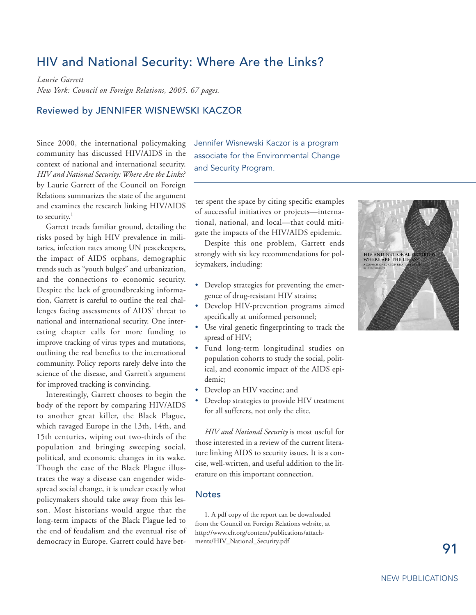### HIV and National Security: Where Are the Links?

*Laurie Garrett New York: Council on Foreign Relations, 2005. 67 pages.*

#### Reviewed by JENNIFER WISNEWSKI KACZOR

Since 2000, the international policymaking community has discussed HIV/AIDS in the context of national and international security. *HIV and National Security: Where Are the Links?* by Laurie Garrett of the Council on Foreign Relations summarizes the state of the argument and examines the research linking HIV/AIDS to security.<sup>1</sup>

Garrett treads familiar ground, detailing the risks posed by high HIV prevalence in militaries, infection rates among UN peacekeepers, the impact of AIDS orphans, demographic trends such as "youth bulges" and urbanization, and the connections to economic security. Despite the lack of groundbreaking information, Garrett is careful to outline the real challenges facing assessments of AIDS' threat to national and international security. One interesting chapter calls for more funding to improve tracking of virus types and mutations, outlining the real benefits to the international community. Policy reports rarely delve into the science of the disease, and Garrett's argument for improved tracking is convincing.

Interestingly, Garrett chooses to begin the body of the report by comparing HIV/AIDS to another great killer, the Black Plague, which ravaged Europe in the 13th, 14th, and 15th centuries, wiping out two-thirds of the population and bringing sweeping social, political, and economic changes in its wake. Though the case of the Black Plague illustrates the way a disease can engender widespread social change, it is unclear exactly what policymakers should take away from this lesson. Most historians would argue that the long-term impacts of the Black Plague led to the end of feudalism and the eventual rise of democracy in Europe. Garrett could have betJennifer Wisnewski Kaczor is a program associate for the Environmental Change and Security Program.

ter spent the space by citing specific examples of successful initiatives or projects—international, national, and local—that could mitigate the impacts of the HIV/AIDS epidemic.

Despite this one problem, Garrett ends strongly with six key recommendations for policymakers, including:

- Develop strategies for preventing the emergence of drug-resistant HIV strains;
- Develop HIV-prevention programs aimed specifically at uniformed personnel;
- Use viral genetic fingerprinting to track the spread of HIV;
- Fund long-term longitudinal studies on population cohorts to study the social, political, and economic impact of the AIDS epidemic;
- Develop an HIV vaccine; and
- Develop strategies to provide HIV treatment for all sufferers, not only the elite.

*HIV and National Security* is most useful for those interested in a review of the current literature linking AIDS to security issues. It is a concise, well-written, and useful addition to the literature on this important connection.

#### **Notes**

1. A pdf copy of the report can be downloaded from the Council on Foreign Relations website, at http://www.cfr.org/content/publications/attachments/HIV\_National\_Security.pdf

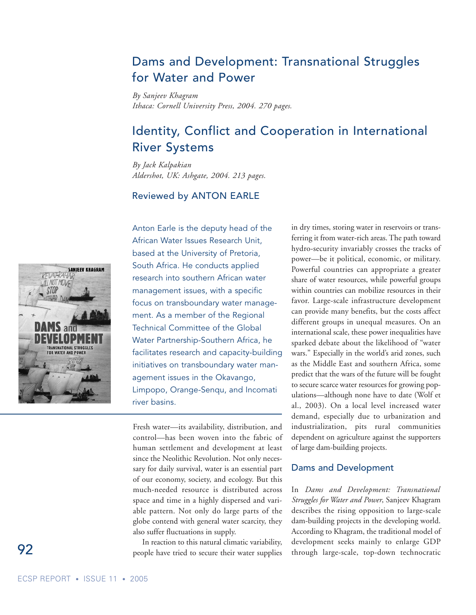# Dams and Development: Transnational Struggles for Water and Power

*By Sanjeev Khagram Ithaca: Cornell University Press, 2004. 270 pages.*

# Identity, Conflict and Cooperation in International River Systems

*By Jack Kalpakian Aldershot, UK: Ashgate, 2004. 213 pages.*

#### Reviewed by ANTON EARLE



Anton Earle is the deputy head of the African Water Issues Research Unit, based at the University of Pretoria, South Africa. He conducts applied research into southern African water management issues, with a specific focus on transboundary water management. As a member of the Regional Technical Committee of the Global Water Partnership-Southern Africa, he facilitates research and capacity-building initiatives on transboundary water management issues in the Okavango, Limpopo, Orange-Senqu, and Incomati river basins.

Fresh water—its availability, distribution, and control—has been woven into the fabric of human settlement and development at least since the Neolithic Revolution. Not only necessary for daily survival, water is an essential part of our economy, society, and ecology. But this much-needed resource is distributed across space and time in a highly dispersed and variable pattern. Not only do large parts of the globe contend with general water scarcity, they also suffer fluctuations in supply.

In reaction to this natural climatic variability, people have tried to secure their water supplies

in dry times, storing water in reservoirs or transferring it from water-rich areas. The path toward hydro-security invariably crosses the tracks of power—be it political, economic, or military. Powerful countries can appropriate a greater share of water resources, while powerful groups within countries can mobilize resources in their favor. Large-scale infrastructure development can provide many benefits, but the costs affect different groups in unequal measures. On an international scale, these power inequalities have sparked debate about the likelihood of "water wars." Especially in the world's arid zones, such as the Middle East and southern Africa, some predict that the wars of the future will be fought to secure scarce water resources for growing populations—although none have to date (Wolf et al., 2003). On a local level increased water demand, especially due to urbanization and industrialization, pits rural communities dependent on agriculture against the supporters of large dam-building projects.

#### Dams and Development

In *Dams and Development: Transnational Struggles for Water and Power*, Sanjeev Khagram describes the rising opposition to large-scale dam-building projects in the developing world. According to Khagram, the traditional model of development seeks mainly to enlarge GDP through large-scale, top-down technocratic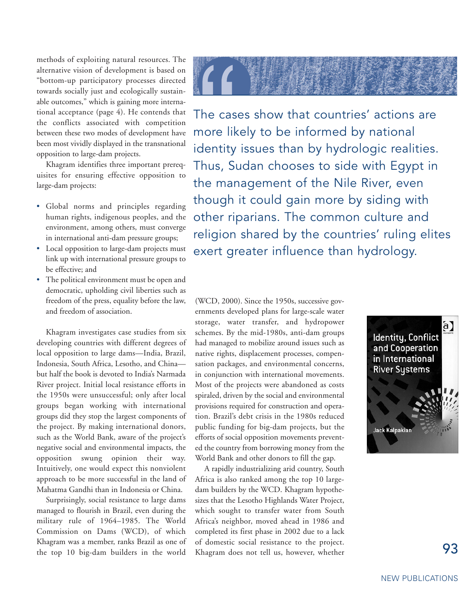methods of exploiting natural resources. The alternative vision of development is based on "bottom-up participatory processes directed towards socially just and ecologically sustainable outcomes," which is gaining more international acceptance (page 4). He contends that the conflicts associated with competition between these two modes of development have been most vividly displayed in the transnational opposition to large-dam projects.

Khagram identifies three important prerequisites for ensuring effective opposition to large-dam projects:

- Global norms and principles regarding human rights, indigenous peoples, and the environment, among others, must converge in international anti-dam pressure groups;
- Local opposition to large-dam projects must link up with international pressure groups to be effective; and
- The political environment must be open and democratic, upholding civil liberties such as freedom of the press, equality before the law, and freedom of association.

Khagram investigates case studies from six developing countries with different degrees of local opposition to large dams—India, Brazil, Indonesia, South Africa, Lesotho, and China but half the book is devoted to India's Narmada River project. Initial local resistance efforts in the 1950s were unsuccessful; only after local groups began working with international groups did they stop the largest components of the project. By making international donors, such as the World Bank, aware of the project's negative social and environmental impacts, the opposition swung opinion their way. Intuitively, one would expect this nonviolent approach to be more successful in the land of Mahatma Gandhi than in Indonesia or China.

Surprisingly, social resistance to large dams managed to flourish in Brazil, even during the military rule of 1964–1985. The World Commission on Dams (WCD), of which Khagram was a member, ranks Brazil as one of the top 10 big-dam builders in the world



The cases show that countries' actions are more likely to be informed by national identity issues than by hydrologic realities. Thus, Sudan chooses to side with Egypt in the management of the Nile River, even though it could gain more by siding with other riparians. The common culture and religion shared by the countries' ruling elites exert greater influence than hydrology.

(WCD, 2000). Since the 1950s, successive governments developed plans for large-scale water storage, water transfer, and hydropower schemes. By the mid-1980s, anti-dam groups had managed to mobilize around issues such as native rights, displacement processes, compensation packages, and environmental concerns, in conjunction with international movements. Most of the projects were abandoned as costs spiraled, driven by the social and environmental provisions required for construction and operation. Brazil's debt crisis in the 1980s reduced public funding for big-dam projects, but the efforts of social opposition movements prevented the country from borrowing money from the World Bank and other donors to fill the gap.

A rapidly industrializing arid country, South Africa is also ranked among the top 10 largedam builders by the WCD. Khagram hypothesizes that the Lesotho Highlands Water Project, which sought to transfer water from South Africa's neighbor, moved ahead in 1986 and completed its first phase in 2002 due to a lack of domestic social resistance to the project. Khagram does not tell us, however, whether

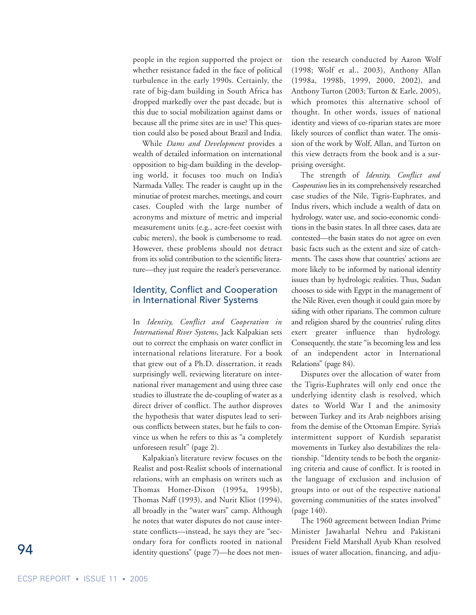people in the region supported the project or whether resistance faded in the face of political turbulence in the early 1990s. Certainly, the rate of big-dam building in South Africa has dropped markedly over the past decade, but is this due to social mobilization against dams or because all the prime sites are in use? This question could also be posed about Brazil and India.

While *Dams and Development* provides a wealth of detailed information on international opposition to big-dam building in the developing world, it focuses too much on India's Narmada Valley. The reader is caught up in the minutiae of protest marches, meetings, and court cases. Coupled with the large number of acronyms and mixture of metric and imperial measurement units (e.g., acre-feet coexist with cubic meters), the book is cumbersome to read. However, these problems should not detract from its solid contribution to the scientific literature—they just require the reader's perseverance.

#### Identity, Conflict and Cooperation in International River Systems

In *Identity, Conflict and Cooperation in International River Systems*, Jack Kalpakian sets out to correct the emphasis on water conflict in international relations literature. For a book that grew out of a Ph.D. dissertation, it reads surprisingly well, reviewing literature on international river management and using three case studies to illustrate the de-coupling of water as a direct driver of conflict. The author disproves the hypothesis that water disputes lead to serious conflicts between states, but he fails to convince us when he refers to this as "a completely unforeseen result" (page 2).

Kalpakian's literature review focuses on the Realist and post-Realist schools of international relations, with an emphasis on writers such as Thomas Homer-Dixon (1995a, 1995b), Thomas Naff (1993), and Nurit Kliot (1994), all broadly in the "water wars" camp. Although he notes that water disputes do not cause interstate conflicts—instead, he says they are "secondary fora for conflicts rooted in national identity questions" (page 7)—he does not mention the research conducted by Aaron Wolf (1998; Wolf et al., 2003), Anthony Allan (1998a, 1998b, 1999, 2000, 2002), and Anthony Turton (2003; Turton & Earle, 2005), which promotes this alternative school of thought. In other words, issues of national identity and views of co-riparian states are more likely sources of conflict than water. The omission of the work by Wolf, Allan, and Turton on this view detracts from the book and is a surprising oversight.

The strength of *Identity, Conflict and Cooperation* lies in its comprehensively researched case studies of the Nile, Tigris-Euphrates, and Indus rivers, which include a wealth of data on hydrology, water use, and socio-economic conditions in the basin states. In all three cases, data are contested—the basin states do not agree on even basic facts such as the extent and size of catchments. The cases show that countries' actions are more likely to be informed by national identity issues than by hydrologic realities. Thus, Sudan chooses to side with Egypt in the management of the Nile River, even though it could gain more by siding with other riparians. The common culture and religion shared by the countries' ruling elites exert greater influence than hydrology. Consequently, the state "is becoming less and less of an independent actor in International Relations" (page 84).

Disputes over the allocation of water from the Tigris-Euphrates will only end once the underlying identity clash is resolved, which dates to World War I and the animosity between Turkey and its Arab neighbors arising from the demise of the Ottoman Empire. Syria's intermittent support of Kurdish separatist movements in Turkey also destabilizes the relationship. "Identity tends to be both the organizing criteria and cause of conflict. It is rooted in the language of exclusion and inclusion of groups into or out of the respective national governing communities of the states involved" (page 140).

The 1960 agreement between Indian Prime Minister Jawaharlal Nehru and Pakistani President Field Marshall Ayub Khan resolved issues of water allocation, financing, and adju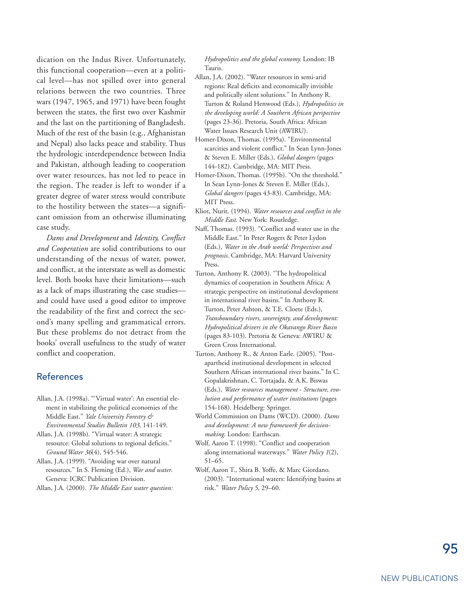dication on the Indus River. Unfortunately, this functional cooperation—even at a political level—has not spilled over into general relations between the two countries. Three wars (1947, 1965, and 1971) have been fought between the states, the first two over Kashmir and the last on the partitioning of Bangladesh. Much of the rest of the basin (e.g., Afghanistan and Nepal) also lacks peace and stability. Thus the hydrologic interdependence between India and Pakistan, although leading to cooperation over water resources, has not led to peace in the region. The reader is left to wonder if a greater degree of water stress would contribute to the hostility between the states—a significant omission from an otherwise illuminating case study.

*Dams and Development* and *Identity, Conflict and Cooperation* are solid contributions to our understanding of the nexus of water, power, and conflict, at the interstate as well as domestic level. Both books have their limitations—such as a lack of maps illustrating the case studies and could have used a good editor to improve the readability of the first and correct the second's many spelling and grammatical errors. But these problems do not detract from the books' overall usefulness to the study of water conflict and cooperation.

#### References

- Allan, J.A. (1998a). "'Virtual water': An essential element in stabilizing the political economies of the Middle East." *Yale University Forestry & Environmental Studies Bulletin 103*, 141-149.
- Allan, J.A. (1998b). "Virtual water: A strategic resource: Global solutions to regional deficits." *Ground Water 36*(4), 545-546.
- Allan, J.A. (1999). "Avoiding war over natural resources." In S. Fleming (Ed*.*), *War and water*. Geneva: ICRC Publication Division.

Allan, J.A. (2000). *The Middle East water question:*

*Hydropolitics and the global economy.* London: IB Tauris.

- Allan, J.A. (2002). "Water resources in semi-arid regions: Real deficits and economically invisible and politically silent solutions." In Anthony R. Turton & Roland Henwood (Eds.), *Hydropolitics in the developing world: A Southern African perspective* (pages 23-36). Pretoria, South Africa: African Water Issues Research Unit (AWIRU).
- Homer-Dixon, Thomas. (1995a). "Environmental scarcities and violent conflict." In Sean Lynn-Jones & Steven E. Miller (Eds.), *Global dangers* (pages 144-182). Cambridge, MA: MIT Press.
- Homer-Dixon, Thomas. (1995b). "On the threshold." In Sean Lynn-Jones & Steven E. Miller (Eds.), *Global dangers* (pages 43-83). Cambridge, MA: MIT Press.
- Kliot, Nurit. (1994). *Water resources and conflict in the Middle East*. New York: Routledge.
- Naff, Thomas. (1993). "Conflict and water use in the Middle East." In Peter Rogers & Peter Lydon (Eds.), *Water in the Arab world: Perspectives and prognosis*. Cambridge, MA: Harvard University Press.
- Turton, Anthony R. (2003). "The hydropolitical dynamics of cooperation in Southern Africa: A strategic perspective on institutional development in international river basins." In Anthony R. Turton, Peter Ashton, & T.E. Cloete (Eds.), *Transboundary rivers, sovereignty, and development: Hydropolitical drivers in the Okavango River Basin* (pages 83-103). Pretoria & Geneva: AWIRU & Green Cross International.
- Turton, Anthony R., & Anton Earle. (2005). "Postapartheid institutional development in selected Southern African international river basins." In C. Gopalakrishnan, C. Tortajada, & A.K. Biswas (Eds.), *Water resources management - Structure, evolution and performance of water institutions* (pages 154-168)*.* Heidelberg: Springer.
- World Commission on Dams (WCD). (2000). *Dams and development: A new framework for decisionmaking*. London: Earthscan.
- Wolf, Aaron T. (1998). "Conflict and cooperation along international waterways." *Water Policy 1*(2), 51–65.
- Wolf, Aaron T., Shira B. Yoffe, & Marc Giordano. (2003). "International waters: Identifying basins at risk." *Water Policy 5*, 29–60.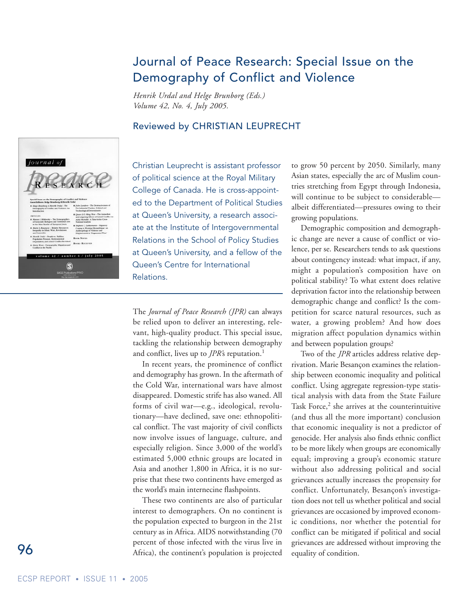# Journal of Peace Research: Special Issue on the Demography of Conflict and Violence

*Henrik Urdal and Helge Brunborg (Eds.) Volume 42, No. 4, July 2005.* 

#### Reviewed by CHRISTIAN LEUPRECHT



Christian Leuprecht is assistant professor of political science at the Royal Military College of Canada. He is cross-appointed to the Department of Political Studies at Queen's University, a research associate at the Institute of Intergovernmental Relations in the School of Policy Studies at Queen's University, and a fellow of the Queen's Centre for International Relations.

The *Journal of Peace Research (JPR)* can always be relied upon to deliver an interesting, relevant, high-quality product. This special issue, tackling the relationship between demography and conflict, lives up to *JPR's* reputation.<sup>1</sup>

In recent years, the prominence of conflict and demography has grown. In the aftermath of the Cold War, international wars have almost disappeared. Domestic strife has also waned. All forms of civil war—e.g., ideological, revolutionary—have declined, save one: ethnopolitical conflict. The vast majority of civil conflicts now involve issues of language, culture, and especially religion. Since 3,000 of the world's estimated 5,000 ethnic groups are located in Asia and another 1,800 in Africa, it is no surprise that these two continents have emerged as the world's main internecine flashpoints.

These two continents are also of particular interest to demographers. On no continent is the population expected to burgeon in the 21st century as in Africa. AIDS notwithstanding (70 percent of those infected with the virus live in Africa), the continent's population is projected

to grow 50 percent by 2050. Similarly, many Asian states, especially the arc of Muslim countries stretching from Egypt through Indonesia, will continue to be subject to considerable albeit differentiated—pressures owing to their growing populations.

Demographic composition and demographic change are never a cause of conflict or violence, per se. Researchers tends to ask questions about contingency instead: what impact, if any, might a population's composition have on political stability? To what extent does relative deprivation factor into the relationship between demographic change and conflict? Is the competition for scarce natural resources, such as water, a growing problem? And how does migration affect population dynamics within and between population groups?

Two of the *JPR* articles address relative deprivation. Marie Besançon examines the relationship between economic inequality and political conflict. Using aggregate regression-type statistical analysis with data from the State Failure Task Force,<sup>2</sup> she arrives at the counterintuitive (and thus all the more important) conclusion that economic inequality is not a predictor of genocide. Her analysis also finds ethnic conflict to be more likely when groups are economically equal; improving a group's economic stature without also addressing political and social grievances actually increases the propensity for conflict. Unfortunately, Besançon's investigation does not tell us whether political and social grievances are occasioned by improved economic conditions, nor whether the potential for conflict can be mitigated if political and social grievances are addressed without improving the equality of condition.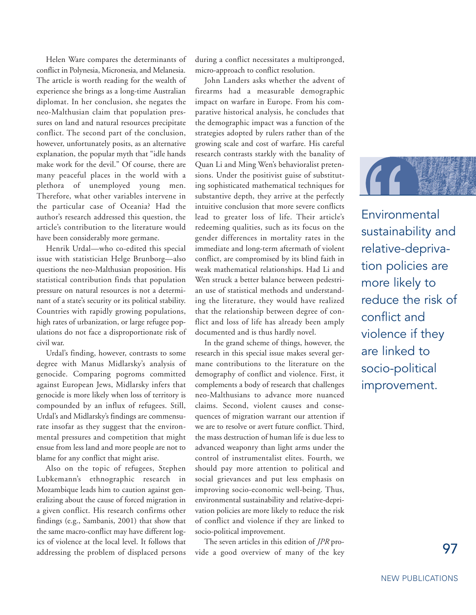Helen Ware compares the determinants of conflict in Polynesia, Micronesia, and Melanesia. The article is worth reading for the wealth of experience she brings as a long-time Australian diplomat. In her conclusion, she negates the neo-Malthusian claim that population pressures on land and natural resources precipitate conflict. The second part of the conclusion, however, unfortunately posits, as an alternative explanation, the popular myth that "idle hands make work for the devil." Of course, there are many peaceful places in the world with a plethora of unemployed young men. Therefore, what other variables intervene in the particular case of Oceania? Had the author's research addressed this question, the article's contribution to the literature would have been considerably more germane.

Henrik Urdal—who co-edited this special issue with statistician Helge Brunborg—also questions the neo-Malthusian proposition. His statistical contribution finds that population pressure on natural resources is not a determinant of a state's security or its political stability. Countries with rapidly growing populations, high rates of urbanization, or large refugee populations do not face a disproportionate risk of civil war.

Urdal's finding, however, contrasts to some degree with Manus Midlarsky's analysis of genocide. Comparing pogroms committed against European Jews, Midlarsky infers that genocide is more likely when loss of territory is compounded by an influx of refugees. Still, Urdal's and Midlarsky's findings are commensurate insofar as they suggest that the environmental pressures and competition that might ensue from less land and more people are not to blame for any conflict that might arise.

Also on the topic of refugees, Stephen Lubkemann's ethnographic research in Mozambique leads him to caution against generalizing about the cause of forced migration in a given conflict. His research confirms other findings (e.g., Sambanis, 2001) that show that the same macro-conflict may have different logics of violence at the local level. It follows that addressing the problem of displaced persons during a conflict necessitates a multipronged, micro-approach to conflict resolution.

John Landers asks whether the advent of firearms had a measurable demographic impact on warfare in Europe. From his comparative historical analysis, he concludes that the demographic impact was a function of the strategies adopted by rulers rather than of the growing scale and cost of warfare. His careful research contrasts starkly with the banality of Quan Li and Ming Wen's behavioralist pretensions. Under the positivist guise of substituting sophisticated mathematical techniques for substantive depth, they arrive at the perfectly intuitive conclusion that more severe conflicts lead to greater loss of life. Their article's redeeming qualities, such as its focus on the gender differences in mortality rates in the immediate and long-term aftermath of violent conflict, are compromised by its blind faith in weak mathematical relationships. Had Li and Wen struck a better balance between pedestrian use of statistical methods and understanding the literature, they would have realized that the relationship between degree of conflict and loss of life has already been amply documented and is thus hardly novel.

In the grand scheme of things, however, the research in this special issue makes several germane contributions to the literature on the demography of conflict and violence. First, it complements a body of research that challenges neo-Malthusians to advance more nuanced claims. Second, violent causes and consequences of migration warrant our attention if we are to resolve or avert future conflict. Third, the mass destruction of human life is due less to advanced weaponry than light arms under the control of instrumentalist elites. Fourth, we should pay more attention to political and social grievances and put less emphasis on improving socio-economic well-being. Thus, environmental sustainability and relative-deprivation policies are more likely to reduce the risk of conflict and violence if they are linked to socio-political improvement.

The seven articles in this edition of *JPR* provide a good overview of many of the key



Environmental sustainability and relative-deprivation policies are more likely to reduce the risk of conflict and violence if they are linked to socio-political improvement.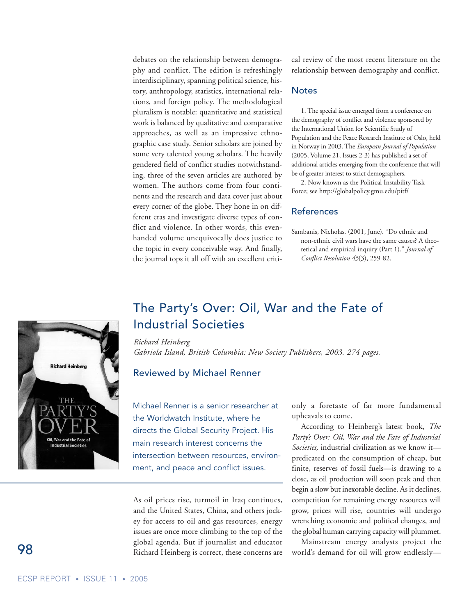debates on the relationship between demography and conflict. The edition is refreshingly interdisciplinary, spanning political science, history, anthropology, statistics, international relations, and foreign policy. The methodological pluralism is notable: quantitative and statistical work is balanced by qualitative and comparative approaches, as well as an impressive ethnographic case study. Senior scholars are joined by some very talented young scholars. The heavily gendered field of conflict studies notwithstanding, three of the seven articles are authored by women. The authors come from four continents and the research and data cover just about every corner of the globe. They hone in on different eras and investigate diverse types of conflict and violence. In other words, this evenhanded volume unequivocally does justice to the topic in every conceivable way. And finally, the journal tops it all off with an excellent critical review of the most recent literature on the relationship between demography and conflict.

#### **Notes**

1. The special issue emerged from a conference on the demography of conflict and violence sponsored by the International Union for Scientific Study of Population and the Peace Research Institute of Oslo, held in Norway in 2003. The *European Journal of Population* (2005, Volume 21, Issues 2-3) has published a set of additional articles emerging from the conference that will be of greater interest to strict demographers.

2. Now known as the Political Instability Task Force; see http://globalpolicy.gmu.edu/pitf/

#### References

Sambanis, Nicholas. (2001, June). "Do ethnic and non-ethnic civil wars have the same causes? A theoretical and empirical inquiry (Part 1)." *Journal of Conflict Resolution 45*(3), 259-82.

### The Party's Over: Oil, War and the Fate of Industrial Societies

#### *Richard Heinberg*

*Gabriola Island, British Columbia: New Society Publishers, 2003. 274 pages.*

#### Reviewed by Michael Renner

Michael Renner is a senior researcher at the Worldwatch Institute, where he directs the Global Security Project. His main research interest concerns the intersection between resources, environment, and peace and conflict issues.

As oil prices rise, turmoil in Iraq continues, and the United States, China, and others jockey for access to oil and gas resources, energy issues are once more climbing to the top of the global agenda. But if journalist and educator Richard Heinberg is correct, these concerns are only a foretaste of far more fundamental upheavals to come.

According to Heinberg's latest book, *The Party's Over: Oil, War and the Fate of Industrial Societies,* industrial civilization as we know it predicated on the consumption of cheap, but finite, reserves of fossil fuels—is drawing to a close, as oil production will soon peak and then begin a slow but inexorable decline. As it declines, competition for remaining energy resources will grow, prices will rise, countries will undergo wrenching economic and political changes, and the global human carrying capacity will plummet.

Mainstream energy analysts project the world's demand for oil will grow endlessly—

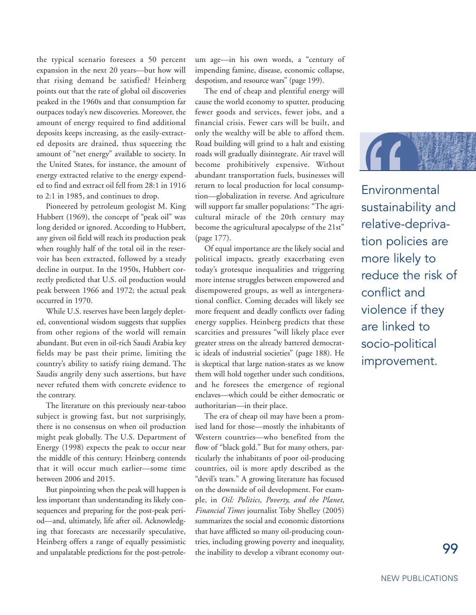the typical scenario foresees a 50 percent expansion in the next 20 years—but how will that rising demand be satisfied? Heinberg points out that the rate of global oil discoveries peaked in the 1960s and that consumption far outpaces today's new discoveries. Moreover, the amount of energy required to find additional deposits keeps increasing, as the easily-extracted deposits are drained, thus squeezing the amount of "net energy" available to society. In the United States, for instance, the amount of energy extracted relative to the energy expended to find and extract oil fell from 28:1 in 1916 to 2:1 in 1985, and continues to drop.

Pioneered by petroleum geologist M. King Hubbert (1969), the concept of "peak oil" was long derided or ignored. According to Hubbert, any given oil field will reach its production peak when roughly half of the total oil in the reservoir has been extracted, followed by a steady decline in output. In the 1950s, Hubbert correctly predicted that U.S. oil production would peak between 1966 and 1972; the actual peak occurred in 1970.

While U.S. reserves have been largely depleted, conventional wisdom suggests that supplies from other regions of the world will remain abundant. But even in oil-rich Saudi Arabia key fields may be past their prime, limiting the country's ability to satisfy rising demand. The Saudis angrily deny such assertions, but have never refuted them with concrete evidence to the contrary.

The literature on this previously near-taboo subject is growing fast, but not surprisingly, there is no consensus on when oil production might peak globally. The U.S. Department of Energy (1998) expects the peak to occur near the middle of this century; Heinberg contends that it will occur much earlier—some time between 2006 and 2015.

But pinpointing when the peak will happen is less important than understanding its likely consequences and preparing for the post-peak period—and, ultimately, life after oil. Acknowledging that forecasts are necessarily speculative, Heinberg offers a range of equally pessimistic and unpalatable predictions for the post-petroleum age—in his own words, a "century of impending famine, disease, economic collapse, despotism, and resource wars" (page 199).

The end of cheap and plentiful energy will cause the world economy to sputter, producing fewer goods and services, fewer jobs, and a financial crisis. Fewer cars will be built, and only the wealthy will be able to afford them. Road building will grind to a halt and existing roads will gradually disintegrate. Air travel will become prohibitively expensive. Without abundant transportation fuels, businesses will return to local production for local consumption—globalization in reverse. And agriculture will support far smaller populations: "The agricultural miracle of the 20th century may become the agricultural apocalypse of the 21st" (page 177).

Of equal importance are the likely social and political impacts, greatly exacerbating even today's grotesque inequalities and triggering more intense struggles between empowered and disempowered groups, as well as intergenerational conflict. Coming decades will likely see more frequent and deadly conflicts over fading energy supplies. Heinberg predicts that these scarcities and pressures "will likely place ever greater stress on the already battered democratic ideals of industrial societies" (page 188). He is skeptical that large nation-states as we know them will hold together under such conditions, and he foresees the emergence of regional enclaves—which could be either democratic or authoritarian—in their place.

The era of cheap oil may have been a promised land for those—mostly the inhabitants of Western countries—who benefited from the flow of "black gold." But for many others, particularly the inhabitants of poor oil-producing countries, oil is more aptly described as the "devil's tears." A growing literature has focused on the downside of oil development. For example, in *Oil: Politics, Poverty, and the Planet*, *Financial Times* journalist Toby Shelley (2005) summarizes the social and economic distortions that have afflicted so many oil-producing countries, including growing poverty and inequality, the inability to develop a vibrant economy out-



**Environmental** sustainability and relative-deprivation policies are more likely to reduce the risk of conflict and violence if they are linked to socio-political improvement.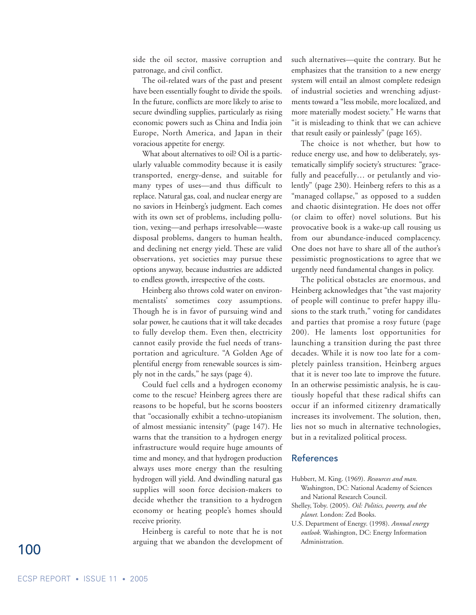side the oil sector, massive corruption and patronage, and civil conflict.

The oil-related wars of the past and present have been essentially fought to divide the spoils. In the future, conflicts are more likely to arise to secure dwindling supplies, particularly as rising economic powers such as China and India join Europe, North America, and Japan in their voracious appetite for energy.

What about alternatives to oil? Oil is a particularly valuable commodity because it is easily transported, energy-dense, and suitable for many types of uses—and thus difficult to replace. Natural gas, coal, and nuclear energy are no saviors in Heinberg's judgment. Each comes with its own set of problems, including pollution, vexing—and perhaps irresolvable—waste disposal problems, dangers to human health, and declining net energy yield. These are valid observations, yet societies may pursue these options anyway, because industries are addicted to endless growth, irrespective of the costs.

Heinberg also throws cold water on environmentalists' sometimes cozy assumptions. Though he is in favor of pursuing wind and solar power, he cautions that it will take decades to fully develop them. Even then, electricity cannot easily provide the fuel needs of transportation and agriculture. "A Golden Age of plentiful energy from renewable sources is simply not in the cards," he says (page 4).

Could fuel cells and a hydrogen economy come to the rescue? Heinberg agrees there are reasons to be hopeful, but he scorns boosters that "occasionally exhibit a techno-utopianism of almost messianic intensity" (page 147). He warns that the transition to a hydrogen energy infrastructure would require huge amounts of time and money, and that hydrogen production always uses more energy than the resulting hydrogen will yield. And dwindling natural gas supplies will soon force decision-makers to decide whether the transition to a hydrogen economy or heating people's homes should receive priority.

Heinberg is careful to note that he is not arguing that we abandon the development of such alternatives—quite the contrary. But he emphasizes that the transition to a new energy system will entail an almost complete redesign of industrial societies and wrenching adjustments toward a "less mobile, more localized, and more materially modest society." He warns that "it is misleading to think that we can achieve that result easily or painlessly" (page 165).

The choice is not whether, but how to reduce energy use, and how to deliberately, systematically simplify society's structures: "gracefully and peacefully… or petulantly and violently" (page 230). Heinberg refers to this as a "managed collapse," as opposed to a sudden and chaotic disintegration. He does not offer (or claim to offer) novel solutions. But his provocative book is a wake-up call rousing us from our abundance-induced complacency. One does not have to share all of the author's pessimistic prognostications to agree that we urgently need fundamental changes in policy.

The political obstacles are enormous, and Heinberg acknowledges that "the vast majority of people will continue to prefer happy illusions to the stark truth," voting for candidates and parties that promise a rosy future (page 200). He laments lost opportunities for launching a transition during the past three decades. While it is now too late for a completely painless transition, Heinberg argues that it is never too late to improve the future. In an otherwise pessimistic analysis, he is cautiously hopeful that these radical shifts can occur if an informed citizenry dramatically increases its involvement. The solution, then, lies not so much in alternative technologies, but in a revitalized political process.

#### References

- Hubbert, M. King. (1969). *Resources and man*. Washington, DC: National Academy of Sciences and National Research Council.
- Shelley, Toby. (2005). *Oil: Politics, poverty, and the planet.* London: Zed Books.
- U.S. Department of Energy. (1998). *Annual energy outlook*. Washington, DC: Energy Information Administration.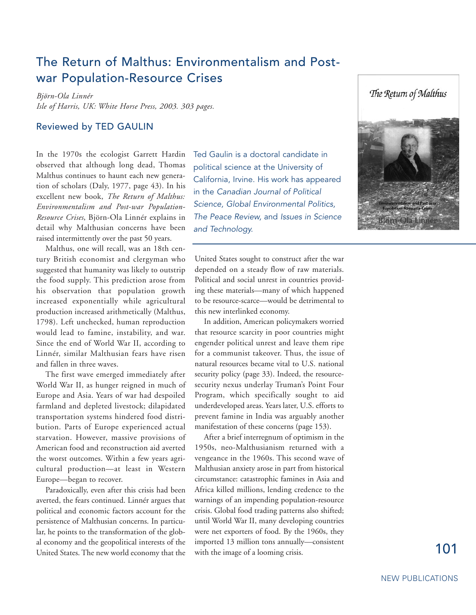# The Return of Malthus: Environmentalism and Postwar Population-Resource Crises

*Björn-Ola Linnér Isle of Harris, UK: White Horse Press, 2003. 303 pages.*

#### Reviewed by TED GAULIN

In the 1970s the ecologist Garrett Hardin observed that although long dead, Thomas Malthus continues to haunt each new generation of scholars (Daly, 1977, page 43). In his excellent new book, *The Return of Malthus: Environmentalism and Post-war Population-Resource Crises*, Björn-Ola Linnér explains in detail why Malthusian concerns have been raised intermittently over the past 50 years.

Malthus, one will recall, was an 18th century British economist and clergyman who suggested that humanity was likely to outstrip the food supply. This prediction arose from his observation that population growth increased exponentially while agricultural production increased arithmetically (Malthus, 1798). Left unchecked, human reproduction would lead to famine, instability, and war. Since the end of World War II, according to Linnér, similar Malthusian fears have risen and fallen in three waves.

The first wave emerged immediately after World War II, as hunger reigned in much of Europe and Asia. Years of war had despoiled farmland and depleted livestock; dilapidated transportation systems hindered food distribution. Parts of Europe experienced actual starvation. However, massive provisions of American food and reconstruction aid averted the worst outcomes. Within a few years agricultural production—at least in Western Europe—began to recover.

Paradoxically, even after this crisis had been averted, the fears continued. Linnér argues that political and economic factors account for the persistence of Malthusian concerns. In particular, he points to the transformation of the global economy and the geopolitical interests of the United States. The new world economy that the

Ted Gaulin is a doctoral candidate in political science at the University of California, Irvine. His work has appeared in the *Canadian Journal of Political Science, Global Environmental Politics, The Peace Review,* and *Issues in Science and Technology.*

United States sought to construct after the war depended on a steady flow of raw materials. Political and social unrest in countries providing these materials—many of which happened to be resource-scarce—would be detrimental to this new interlinked economy.

In addition, American policymakers worried that resource scarcity in poor countries might engender political unrest and leave them ripe for a communist takeover. Thus, the issue of natural resources became vital to U.S. national security policy (page 33). Indeed, the resourcesecurity nexus underlay Truman's Point Four Program, which specifically sought to aid underdeveloped areas. Years later, U.S. efforts to prevent famine in India was arguably another manifestation of these concerns (page 153).

After a brief interregnum of optimism in the 1950s, neo-Malthusianism returned with a vengeance in the 1960s. This second wave of Malthusian anxiety arose in part from historical circumstance: catastrophic famines in Asia and Africa killed millions, lending credence to the warnings of an impending population-resource crisis. Global food trading patterns also shifted; until World War II, many developing countries were net exporters of food. By the 1960s, they imported 13 million tons annually—consistent with the image of a looming crisis.



The Return of Malthus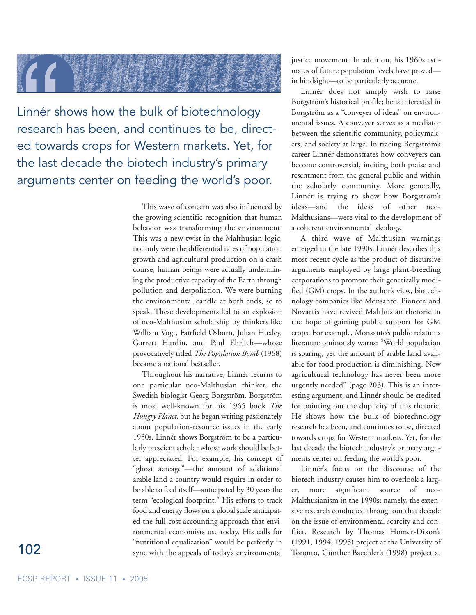

Linnér shows how the bulk of biotechnology research has been, and continues to be, directed towards crops for Western markets. Yet, for the last decade the biotech industry's primary arguments center on feeding the world's poor.

> This wave of concern was also influenced by the growing scientific recognition that human behavior was transforming the environment. This was a new twist in the Malthusian logic: not only were the differential rates of population growth and agricultural production on a crash course, human beings were actually undermining the productive capacity of the Earth through pollution and despoliation. We were burning the environmental candle at both ends, so to speak. These developments led to an explosion of neo-Malthusian scholarship by thinkers like William Vogt, Fairfield Osborn, Julian Huxley, Garrett Hardin, and Paul Ehrlich—whose provocatively titled *The Population Bomb* (1968) became a national bestseller.

> Throughout his narrative, Linnér returns to one particular neo-Malthusian thinker, the Swedish biologist Georg Borgström. Borgström is most well-known for his 1965 book *The Hungry Planet*, but he began writing passionately about population-resource issues in the early 1950s. Linnér shows Borgström to be a particularly prescient scholar whose work should be better appreciated. For example, his concept of "ghost acreage"—the amount of additional arable land a country would require in order to be able to feed itself—anticipated by 30 years the term "ecological footprint." His efforts to track food and energy flows on a global scale anticipated the full-cost accounting approach that environmental economists use today. His calls for "nutritional equalization" would be perfectly in sync with the appeals of today's environmental

justice movement. In addition, his 1960s estimates of future population levels have proved in hindsight—to be particularly accurate.

Linnér does not simply wish to raise Borgström's historical profile; he is interested in Borgström as a "conveyer of ideas" on environmental issues. A conveyer serves as a mediator between the scientific community, policymakers, and society at large. In tracing Borgström's career Linnér demonstrates how conveyers can become controversial, inciting both praise and resentment from the general public and within the scholarly community. More generally, Linnér is trying to show how Borgström's ideas—and the ideas of other neo-Malthusians—were vital to the development of a coherent environmental ideology.

A third wave of Malthusian warnings emerged in the late 1990s. Linnér describes this most recent cycle as the product of discursive arguments employed by large plant-breeding corporations to promote their genetically modified (GM) crops. In the author's view, biotechnology companies like Monsanto, Pioneer, and Novartis have revived Malthusian rhetoric in the hope of gaining public support for GM crops. For example, Monsanto's public relations literature ominously warns: "World population is soaring, yet the amount of arable land available for food production is diminishing. New agricultural technology has never been more urgently needed" (page 203). This is an interesting argument, and Linnér should be credited for pointing out the duplicity of this rhetoric. He shows how the bulk of biotechnology research has been, and continues to be, directed towards crops for Western markets. Yet, for the last decade the biotech industry's primary arguments center on feeding the world's poor.

Linnér's focus on the discourse of the biotech industry causes him to overlook a larger, more significant source of neo-Malthusianism in the 1990s; namely, the extensive research conducted throughout that decade on the issue of environmental scarcity and conflict. Research by Thomas Homer-Dixon's (1991, 1994, 1995) project at the University of Toronto, Günther Baechler's (1998) project at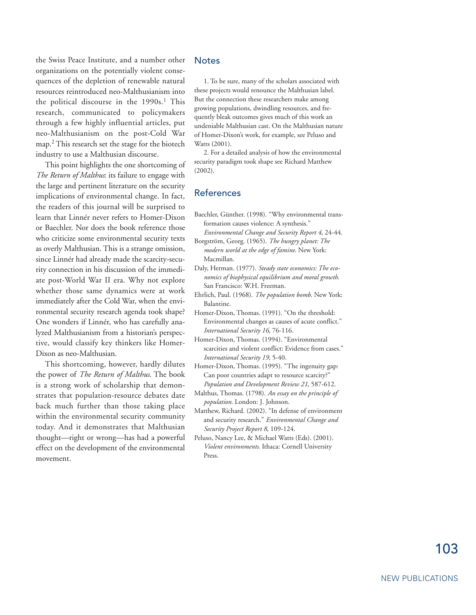the Swiss Peace Institute, and a number other organizations on the potentially violent consequences of the depletion of renewable natural resources reintroduced neo-Malthusianism into the political discourse in the 1990s.<sup>1</sup> This research, communicated to policymakers through a few highly influential articles, put neo-Malthusianism on the post-Cold War map.2 This research set the stage for the biotech industry to use a Malthusian discourse.

This point highlights the one shortcoming of *The Return of Malthus*: its failure to engage with the large and pertinent literature on the security implications of environmental change. In fact, the readers of this journal will be surprised to learn that Linnér never refers to Homer-Dixon or Baechler. Nor does the book reference those who criticize some environmental security texts as overly Malthusian. This is a strange omission, since Linnér had already made the scarcity-security connection in his discussion of the immediate post-World War II era. Why not explore whether those same dynamics were at work immediately after the Cold War, when the environmental security research agenda took shape? One wonders if Linnér, who has carefully analyzed Malthusianism from a historian's perspective, would classify key thinkers like Homer-Dixon as neo-Malthusian.

This shortcoming, however, hardly dilutes the power of *The Return of Malthus*. The book is a strong work of scholarship that demonstrates that population-resource debates date back much further than those taking place within the environmental security community today. And it demonstrates that Malthusian thought—right or wrong—has had a powerful effect on the development of the environmental movement.

#### **Notes**

1. To be sure, many of the scholars associated with these projects would renounce the Malthusian label. But the connection these researchers make among growing populations, dwindling resources, and frequently bleak outcomes gives much of this work an undeniable Malthusian cast. On the Malthusian nature of Homer-Dixon's work, for example, see Peluso and Watts (2001).

2. For a detailed analysis of how the environmental security paradigm took shape see Richard Matthew (2002).

#### References

- Baechler, Günther. (1998). "Why environmental transformation causes violence: A synthesis." *Environmental Change and Security Report 4*, 24-44.
- Borgström, Georg. (1965). *The hungry planet: The modern world at the edge of famine*. New York: Macmillan.
- Daly, Herman. (1977). *Steady state economics: The economics of biophysical equilibrium and moral growth*. San Francisco: W.H. Freeman.
- Ehrlich, Paul. (1968). *The population bomb*. New York: Balantine.
- Homer-Dixon, Thomas. (1991). "On the threshold: Environmental changes as causes of acute conflict." *International Security 16*, 76-116.
- Homer-Dixon, Thomas. (1994). "Environmental scarcities and violent conflict: Evidence from cases." *International Security 19*, 5-40.
- Homer-Dixon, Thomas. (1995). "The ingenuity gap: Can poor countries adapt to resource scarcity?" *Population and Development Review 21*, 587-612.
- Malthus, Thomas. (1798). *An essay on the principle of population.* London: J. Johnson.
- Matthew, Richard. (2002). "In defense of environment and security research." *Environmental Change and Security Project Report 8*, 109-124.
- Peluso, Nancy Lee, & Michael Watts (Eds). (2001). *Violent environments*. Ithaca: Cornell University Press.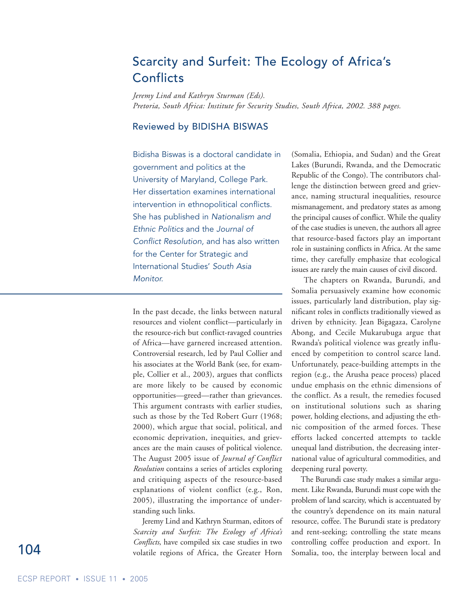# Scarcity and Surfeit: The Ecology of Africa's **Conflicts**

*Jeremy Lind and Kathryn Sturman (Eds). Pretoria, South Africa: Institute for Security Studies, South Africa, 2002. 388 pages.*

#### Reviewed by BIDISHA BISWAS

Bidisha Biswas is a doctoral candidate in government and politics at the University of Maryland, College Park. Her dissertation examines international intervention in ethnopolitical conflicts. She has published in *Nationalism and Ethnic Politics* and the *Journal of Conflict Resolution,* and has also written for the Center for Strategic and International Studies' *South Asia Monitor.* 

In the past decade, the links between natural resources and violent conflict—particularly in the resource-rich but conflict-ravaged countries of Africa—have garnered increased attention. Controversial research, led by Paul Collier and his associates at the World Bank (see, for example, Collier et al., 2003), argues that conflicts are more likely to be caused by economic opportunities—greed—rather than grievances. This argument contrasts with earlier studies, such as those by the Ted Robert Gurr (1968; 2000), which argue that social, political, and economic deprivation, inequities, and grievances are the main causes of political violence. The August 2005 issue of *Journal of Conflict Resolution* contains a series of articles exploring and critiquing aspects of the resource-based explanations of violent conflict (e.g., Ron, 2005), illustrating the importance of understanding such links.

Jeremy Lind and Kathryn Sturman, editors of *Scarcity and Surfeit: The Ecology of Africa's Conflicts*, have compiled six case studies in two volatile regions of Africa, the Greater Horn

(Somalia, Ethiopia, and Sudan) and the Great Lakes (Burundi, Rwanda, and the Democratic Republic of the Congo). The contributors challenge the distinction between greed and grievance, naming structural inequalities, resource mismanagement, and predatory states as among the principal causes of conflict. While the quality of the case studies is uneven, the authors all agree that resource-based factors play an important role in sustaining conflicts in Africa. At the same time, they carefully emphasize that ecological issues are rarely the main causes of civil discord.

The chapters on Rwanda, Burundi, and Somalia persuasively examine how economic issues, particularly land distribution, play significant roles in conflicts traditionally viewed as driven by ethnicity. Jean Bigagaza, Carolyne Abong, and Cecile Mukarubuga argue that Rwanda's political violence was greatly influenced by competition to control scarce land. Unfortunately, peace-building attempts in the region (e.g., the Arusha peace process) placed undue emphasis on the ethnic dimensions of the conflict. As a result, the remedies focused on institutional solutions such as sharing power, holding elections, and adjusting the ethnic composition of the armed forces. These efforts lacked concerted attempts to tackle unequal land distribution, the decreasing international value of agricultural commodities, and deepening rural poverty.

The Burundi case study makes a similar argument. Like Rwanda, Burundi must cope with the problem of land scarcity, which is accentuated by the country's dependence on its main natural resource, coffee. The Burundi state is predatory and rent-seeking; controlling the state means controlling coffee production and export. In Somalia, too, the interplay between local and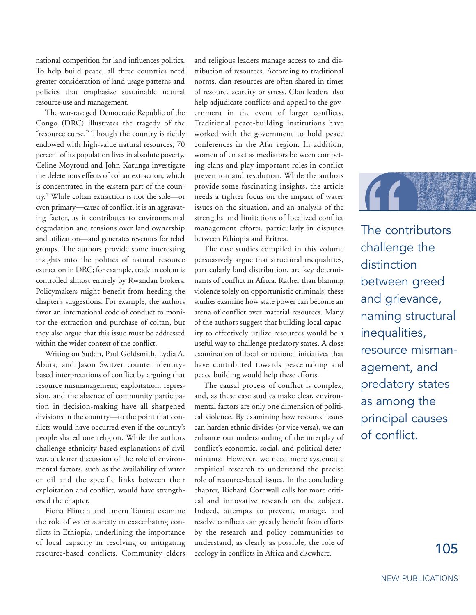national competition for land influences politics. To help build peace, all three countries need greater consideration of land usage patterns and policies that emphasize sustainable natural resource use and management.

The war-ravaged Democratic Republic of the Congo (DRC) illustrates the tragedy of the "resource curse." Though the country is richly endowed with high-value natural resources, 70 percent of its population lives in absolute poverty. Celine Moyroud and John Katunga investigate the deleterious effects of coltan extraction, which is concentrated in the eastern part of the country.1 While coltan extraction is not the sole—or even primary—cause of conflict, it is an aggravating factor, as it contributes to environmental degradation and tensions over land ownership and utilization—and generates revenues for rebel groups. The authors provide some interesting insights into the politics of natural resource extraction in DRC; for example, trade in coltan is controlled almost entirely by Rwandan brokers. Policymakers might benefit from heeding the chapter's suggestions. For example, the authors favor an international code of conduct to monitor the extraction and purchase of coltan, but they also argue that this issue must be addressed within the wider context of the conflict.

Writing on Sudan, Paul Goldsmith, Lydia A. Abura, and Jason Switzer counter identitybased interpretations of conflict by arguing that resource mismanagement, exploitation, repression, and the absence of community participation in decision-making have all sharpened divisions in the country—to the point that conflicts would have occurred even if the country's people shared one religion. While the authors challenge ethnicity-based explanations of civil war, a clearer discussion of the role of environmental factors, such as the availability of water or oil and the specific links between their exploitation and conflict, would have strengthened the chapter.

Fiona Flintan and Imeru Tamrat examine the role of water scarcity in exacerbating conflicts in Ethiopia, underlining the importance of local capacity in resolving or mitigating resource-based conflicts. Community elders and religious leaders manage access to and distribution of resources. According to traditional norms, clan resources are often shared in times of resource scarcity or stress. Clan leaders also help adjudicate conflicts and appeal to the government in the event of larger conflicts. Traditional peace-building institutions have worked with the government to hold peace conferences in the Afar region. In addition, women often act as mediators between competing clans and play important roles in conflict prevention and resolution. While the authors provide some fascinating insights, the article needs a tighter focus on the impact of water issues on the situation, and an analysis of the strengths and limitations of localized conflict management efforts, particularly in disputes between Ethiopia and Eritrea.

The case studies compiled in this volume persuasively argue that structural inequalities, particularly land distribution, are key determinants of conflict in Africa. Rather than blaming violence solely on opportunistic criminals, these studies examine how state power can become an arena of conflict over material resources. Many of the authors suggest that building local capacity to effectively utilize resources would be a useful way to challenge predatory states. A close examination of local or national initiatives that have contributed towards peacemaking and peace building would help these efforts.

The causal process of conflict is complex, and, as these case studies make clear, environmental factors are only one dimension of political violence. By examining how resource issues can harden ethnic divides (or vice versa), we can enhance our understanding of the interplay of conflict's economic, social, and political determinants. However, we need more systematic empirical research to understand the precise role of resource-based issues. In the concluding chapter, Richard Cornwall calls for more critical and innovative research on the subject. Indeed, attempts to prevent, manage, and resolve conflicts can greatly benefit from efforts by the research and policy communities to understand, as clearly as possible, the role of ecology in conflicts in Africa and elsewhere.



The contributors challenge the distinction between greed and grievance, naming structural inequalities, resource mismanagement, and predatory states as among the principal causes of conflict.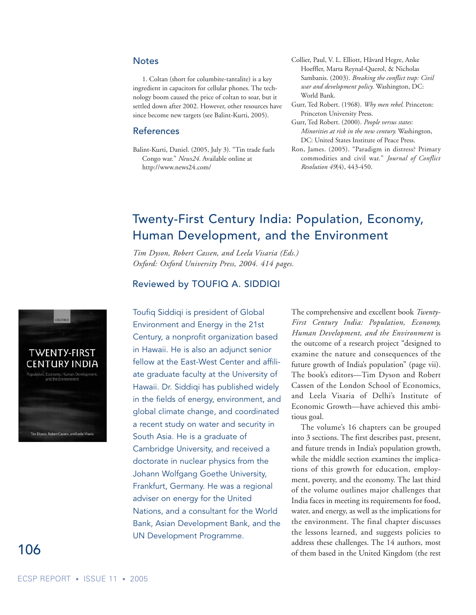#### **Notes**

1. Coltan (short for columbite-tantalite) is a key ingredient in capacitors for cellular phones. The technology boom caused the price of coltan to soar, but it settled down after 2002. However, other resources have since become new targets (see Balint-Kurti, 2005).

#### References

- Balint-Kurti, Daniel. (2005, July 3). "Tin trade fuels Congo war." *News24.* Available online at http://www.news24.com/
- Collier, Paul, V. L. Elliott, Håvard Hegre, Anke Hoeffler, Marta Reynal-Querol, & Nicholas Sambanis. (2003). *Breaking the conflict trap: Civil war and development policy*. Washington, DC: World Bank.
- Gurr, Ted Robert. (1968). *Why men rebel.* Princeton: Princeton University Press.
- Gurr, Ted Robert. (2000). *People versus states: Minorities at risk in the new century.* Washington, DC: United States Institute of Peace Press.
- Ron, James. (2005). "Paradigm in distress? Primary commodities and civil war." *Journal of Conflict Resolution 49*(4), 443-450.

## Twenty-First Century India: Population, Economy, Human Development, and the Environment

*Tim Dyson, Robert Cassen, and Leela Visaria (Eds.) Oxford: Oxford University Press, 2004. 414 pages.*

#### Reviewed by TOUFIQ A. SIDDIQI

Toufiq Siddiqi is president of Global Environment and Energy in the 21st Century, a nonprofit organization based in Hawaii. He is also an adjunct senior fellow at the East-West Center and affiliate graduate faculty at the University of Hawaii. Dr. Siddiqi has published widely in the fields of energy, environment, and global climate change, and coordinated a recent study on water and security in South Asia. He is a graduate of Cambridge University, and received a doctorate in nuclear physics from the Johann Wolfgang Goethe University, Frankfurt, Germany. He was a regional adviser on energy for the United Nations, and a consultant for the World Bank, Asian Development Bank, and the UN Development Programme.

The comprehensive and excellent book *Twenty-First Century India: Population, Economy, Human Development, and the Environment* is the outcome of a research project "designed to examine the nature and consequences of the future growth of India's population" (page vii). The book's editors—Tim Dyson and Robert Cassen of the London School of Economics, and Leela Visaria of Delhi's Institute of Economic Growth—have achieved this ambitious goal.

The volume's 16 chapters can be grouped into 3 sections. The first describes past, present, and future trends in India's population growth, while the middle section examines the implications of this growth for education, employment, poverty, and the economy. The last third of the volume outlines major challenges that India faces in meeting its requirements for food, water, and energy, as well as the implications for the environment. The final chapter discusses the lessons learned, and suggests policies to address these challenges. The 14 authors, most of them based in the United Kingdom (the rest

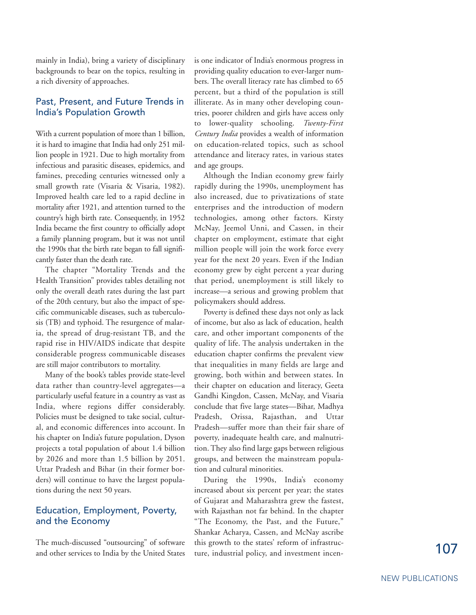mainly in India), bring a variety of disciplinary backgrounds to bear on the topics, resulting in a rich diversity of approaches.

#### Past, Present, and Future Trends in India's Population Growth

With a current population of more than 1 billion, it is hard to imagine that India had only 251 million people in 1921. Due to high mortality from infectious and parasitic diseases, epidemics, and famines, preceding centuries witnessed only a small growth rate (Visaria & Visaria, 1982). Improved health care led to a rapid decline in mortality after 1921, and attention turned to the country's high birth rate. Consequently, in 1952 India became the first country to officially adopt a family planning program, but it was not until the 1990s that the birth rate began to fall significantly faster than the death rate.

The chapter "Mortality Trends and the Health Transition" provides tables detailing not only the overall death rates during the last part of the 20th century, but also the impact of specific communicable diseases, such as tuberculosis (TB) and typhoid. The resurgence of malaria, the spread of drug-resistant TB, and the rapid rise in HIV/AIDS indicate that despite considerable progress communicable diseases are still major contributors to mortality.

Many of the book's tables provide state-level data rather than country-level aggregates—a particularly useful feature in a country as vast as India, where regions differ considerably. Policies must be designed to take social, cultural, and economic differences into account. In his chapter on India's future population, Dyson projects a total population of about 1.4 billion by 2026 and more than 1.5 billion by 2051. Uttar Pradesh and Bihar (in their former borders) will continue to have the largest populations during the next 50 years.

#### Education, Employment, Poverty, and the Economy

The much-discussed "outsourcing" of software and other services to India by the United States is one indicator of India's enormous progress in providing quality education to ever-larger numbers. The overall literacy rate has climbed to 65 percent, but a third of the population is still illiterate. As in many other developing countries, poorer children and girls have access only to lower-quality schooling. *Twenty-First Century India* provides a wealth of information on education-related topics, such as school attendance and literacy rates, in various states and age groups.

Although the Indian economy grew fairly rapidly during the 1990s, unemployment has also increased, due to privatizations of state enterprises and the introduction of modern technologies, among other factors. Kirsty McNay, Jeemol Unni, and Cassen, in their chapter on employment, estimate that eight million people will join the work force every year for the next 20 years. Even if the Indian economy grew by eight percent a year during that period, unemployment is still likely to increase—a serious and growing problem that policymakers should address.

Poverty is defined these days not only as lack of income, but also as lack of education, health care, and other important components of the quality of life. The analysis undertaken in the education chapter confirms the prevalent view that inequalities in many fields are large and growing, both within and between states. In their chapter on education and literacy, Geeta Gandhi Kingdon, Cassen, McNay, and Visaria conclude that five large states—Bihar, Madhya Pradesh, Orissa, Rajasthan, and Uttar Pradesh—suffer more than their fair share of poverty, inadequate health care, and malnutrition. They also find large gaps between religious groups, and between the mainstream population and cultural minorities.

During the 1990s, India's economy increased about six percent per year; the states of Gujarat and Maharashtra grew the fastest, with Rajasthan not far behind. In the chapter "The Economy, the Past, and the Future," Shankar Acharya, Cassen, and McNay ascribe this growth to the states' reform of infrastructure, industrial policy, and investment incen-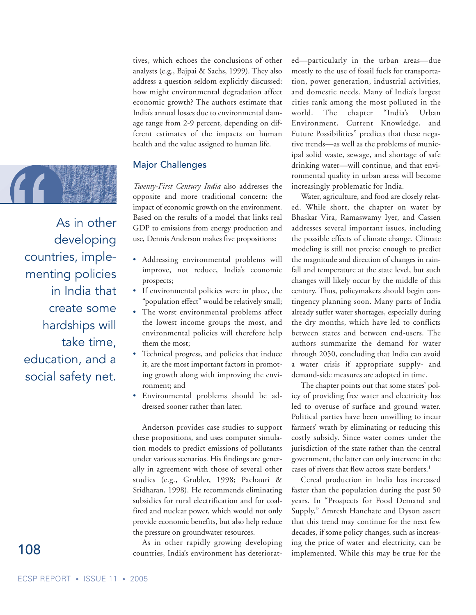

As in other developing countries, implementing policies in India that create some hardships will take time, education, and a social safety net.

tives, which echoes the conclusions of other analysts (e.g., Bajpai & Sachs, 1999). They also address a question seldom explicitly discussed: how might environmental degradation affect economic growth? The authors estimate that India's annual losses due to environmental damage range from 2-9 percent, depending on different estimates of the impacts on human health and the value assigned to human life.

#### Major Challenges

*Twenty-First Century India* also addresses the opposite and more traditional concern: the impact of economic growth on the environment. Based on the results of a model that links real GDP to emissions from energy production and use, Dennis Anderson makes five propositions:

- Addressing environmental problems will improve, not reduce, India's economic prospects;
- If environmental policies were in place, the "population effect" would be relatively small;
- The worst environmental problems affect the lowest income groups the most, and environmental policies will therefore help them the most;
- Technical progress, and policies that induce it, are the most important factors in promoting growth along with improving the environment; and
- Environmental problems should be addressed sooner rather than later.

Anderson provides case studies to support these propositions, and uses computer simulation models to predict emissions of pollutants under various scenarios. His findings are generally in agreement with those of several other studies (e.g., Grubler, 1998; Pachauri & Sridharan, 1998). He recommends eliminating subsidies for rural electrification and for coalfired and nuclear power, which would not only provide economic benefits, but also help reduce the pressure on groundwater resources.

As in other rapidly growing developing countries, India's environment has deteriorated—particularly in the urban areas—due mostly to the use of fossil fuels for transportation, power generation, industrial activities, and domestic needs. Many of India's largest cities rank among the most polluted in the world. The chapter "India's Urban Environment, Current Knowledge, and Future Possibilities" predicts that these negative trends—as well as the problems of municipal solid waste, sewage, and shortage of safe drinking water—will continue, and that environmental quality in urban areas will become increasingly problematic for India.

Water, agriculture, and food are closely related. While short, the chapter on water by Bhaskar Vira, Ramaswamy Iyer, and Cassen addresses several important issues, including the possible effects of climate change. Climate modeling is still not precise enough to predict the magnitude and direction of changes in rainfall and temperature at the state level, but such changes will likely occur by the middle of this century. Thus, policymakers should begin contingency planning soon. Many parts of India already suffer water shortages, especially during the dry months, which have led to conflicts between states and between end-users. The authors summarize the demand for water through 2050, concluding that India can avoid a water crisis if appropriate supply- and demand-side measures are adopted in time.

The chapter points out that some states' policy of providing free water and electricity has led to overuse of surface and ground water. Political parties have been unwilling to incur farmers' wrath by eliminating or reducing this costly subsidy. Since water comes under the jurisdiction of the state rather than the central government, the latter can only intervene in the cases of rivers that flow across state borders.<sup>1</sup>

Cereal production in India has increased faster than the population during the past 50 years. In "Prospects for Food Demand and Supply," Amresh Hanchate and Dyson assert that this trend may continue for the next few decades, if some policy changes, such as increasing the price of water and electricity, can be implemented. While this may be true for the